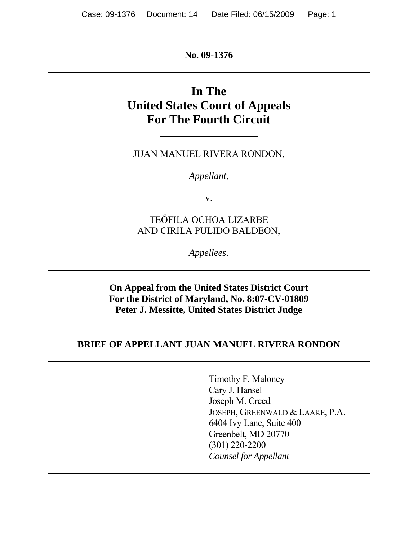**No. 09-1376** 

# **In The United States Court of Appeals For The Fourth Circuit**

JUAN MANUEL RIVERA RONDON,

*Appellant*,

v.

TEŐFILA OCHOA LIZARBE AND CIRILA PULIDO BALDEON,

*Appellees*.

**On Appeal from the United States District Court For the District of Maryland, No. 8:07-CV-01809 Peter J. Messitte, United States District Judge** 

### **BRIEF OF APPELLANT JUAN MANUEL RIVERA RONDON**

Timothy F. Maloney Cary J. Hansel Joseph M. Creed JOSEPH, GREENWALD & LAAKE, P.A. 6404 Ivy Lane, Suite 400 Greenbelt, MD 20770 (301) 220-2200 *Counsel for Appellant*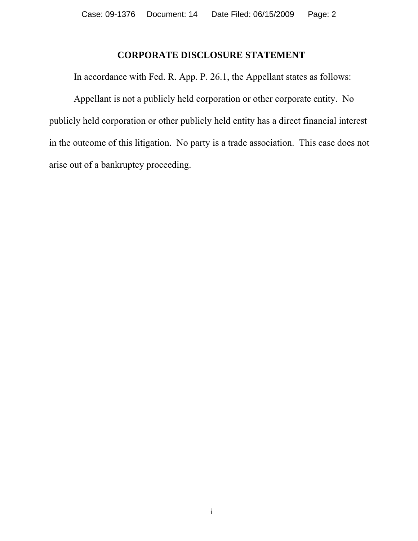### **CORPORATE DISCLOSURE STATEMENT**

In accordance with Fed. R. App. P. 26.1, the Appellant states as follows:

Appellant is not a publicly held corporation or other corporate entity. No publicly held corporation or other publicly held entity has a direct financial interest in the outcome of this litigation. No party is a trade association. This case does not arise out of a bankruptcy proceeding.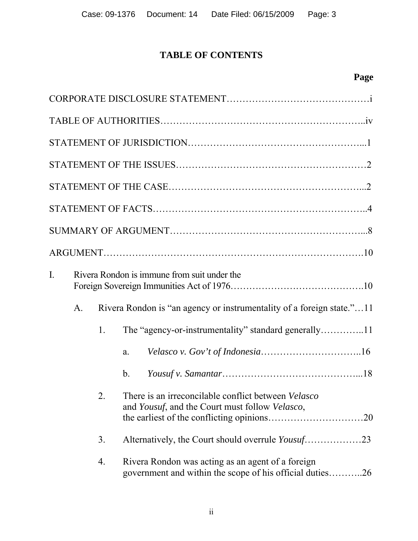# **TABLE OF CONTENTS**

| I. |                |    | Rivera Rondon is immune from suit under the                                                                                  |
|----|----------------|----|------------------------------------------------------------------------------------------------------------------------------|
|    | A <sub>1</sub> |    | Rivera Rondon is "an agency or instrumentality of a foreign state."11                                                        |
|    |                | 1. |                                                                                                                              |
|    |                |    | a.                                                                                                                           |
|    |                |    | $\mathbf{b}$ .                                                                                                               |
|    |                | 2. | There is an irreconcilable conflict between <i>Velasco</i><br>and <i>Yousuf</i> , and the Court must follow <i>Velasco</i> , |
|    |                | 3. | Alternatively, the Court should overrule Yousuf23                                                                            |
|    |                | 4. | Rivera Rondon was acting as an agent of a foreign<br>government and within the scope of his official duties26                |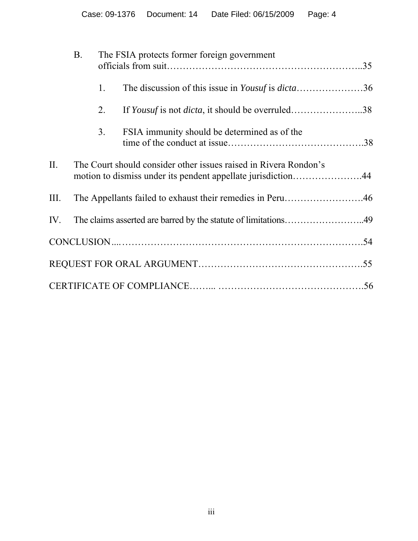|     | <b>B.</b> |                | The FSIA protects former foreign government                                                                                      |  |
|-----|-----------|----------------|----------------------------------------------------------------------------------------------------------------------------------|--|
|     |           | 1.             | The discussion of this issue in <i>Yousuf</i> is <i>dicta</i> 36                                                                 |  |
|     |           | 2.             | If <i>Yousuf</i> is not <i>dicta</i> , it should be overruled38                                                                  |  |
|     |           | 3 <sub>1</sub> | FSIA immunity should be determined as of the                                                                                     |  |
| П.  |           |                | The Court should consider other issues raised in Rivera Rondon's<br>motion to dismiss under its pendent appellate jurisdiction44 |  |
| Ш.  |           |                | The Appellants failed to exhaust their remedies in Peru46                                                                        |  |
| IV. |           |                | The claims asserted are barred by the statute of limitations49                                                                   |  |
|     |           |                |                                                                                                                                  |  |
|     |           |                |                                                                                                                                  |  |
|     |           |                |                                                                                                                                  |  |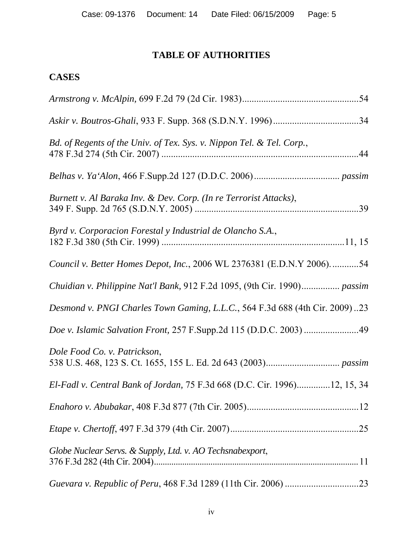# **TABLE OF AUTHORITIES**

# **CASES**

| Bd. of Regents of the Univ. of Tex. Sys. v. Nippon Tel. & Tel. Corp.,       |
|-----------------------------------------------------------------------------|
|                                                                             |
| Burnett v. Al Baraka Inv. & Dev. Corp. (In re Terrorist Attacks),           |
| Byrd v. Corporacion Forestal y Industrial de Olancho S.A.,                  |
| Council v. Better Homes Depot, Inc., 2006 WL 2376381 (E.D.N.Y 2006)54       |
| Chuidian v. Philippine Nat'l Bank, 912 F.2d 1095, (9th Cir. 1990) passim    |
| Desmond v. PNGI Charles Town Gaming, L.L.C., 564 F.3d 688 (4th Cir. 2009)23 |
| Doe v. Islamic Salvation Front, 257 F.Supp.2d 115 (D.D.C. 2003) 49          |
| Dole Food Co. v. Patrickson,                                                |
| El-Fadl v. Central Bank of Jordan, 75 F.3d 668 (D.C. Cir. 1996)12, 15, 34   |
|                                                                             |
|                                                                             |
| Globe Nuclear Servs. & Supply, Ltd. v. AO Techsnabexport,                   |
|                                                                             |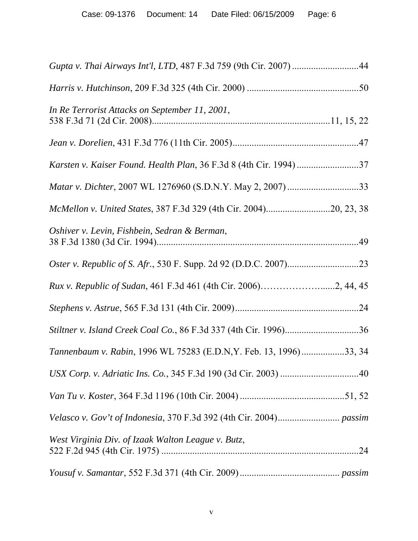| Gupta v. Thai Airways Int'l, LTD, 487 F.3d 759 (9th Cir. 2007) 44   |
|---------------------------------------------------------------------|
|                                                                     |
| In Re Terrorist Attacks on September 11, 2001,                      |
|                                                                     |
|                                                                     |
| <i>Matar v. Dichter, 2007 WL 1276960 (S.D.N.Y. May 2, 2007) </i> 33 |
| McMellon v. United States, 387 F.3d 329 (4th Cir. 2004)20, 23, 38   |
| Oshiver v. Levin, Fishbein, Sedran & Berman,                        |
|                                                                     |
|                                                                     |
|                                                                     |
|                                                                     |
| Tannenbaum v. Rabin, 1996 WL 75283 (E.D.N, Y. Feb. 13, 1996)33, 34  |
|                                                                     |
|                                                                     |
|                                                                     |
| West Virginia Div. of Izaak Walton League v. Butz,                  |
|                                                                     |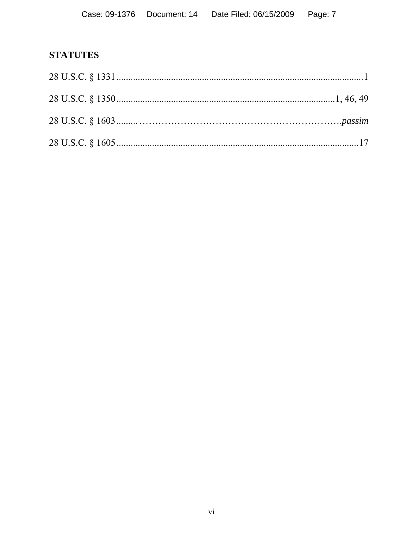# **STATUTES**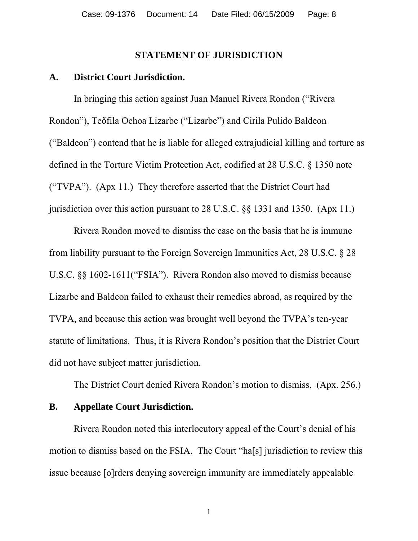### **STATEMENT OF JURISDICTION**

#### **A. District Court Jurisdiction.**

 In bringing this action against Juan Manuel Rivera Rondon ("Rivera Rondon"), Teőfila Ochoa Lizarbe ("Lizarbe") and Cirila Pulido Baldeon ("Baldeon") contend that he is liable for alleged extrajudicial killing and torture as defined in the Torture Victim Protection Act, codified at 28 U.S.C. § 1350 note ("TVPA"). (Apx 11.) They therefore asserted that the District Court had jurisdiction over this action pursuant to 28 U.S.C. §§ 1331 and 1350. (Apx 11.)

Rivera Rondon moved to dismiss the case on the basis that he is immune from liability pursuant to the Foreign Sovereign Immunities Act, 28 U.S.C. § 28 U.S.C. §§ 1602-1611("FSIA"). Rivera Rondon also moved to dismiss because Lizarbe and Baldeon failed to exhaust their remedies abroad, as required by the TVPA, and because this action was brought well beyond the TVPA's ten-year statute of limitations. Thus, it is Rivera Rondon's position that the District Court did not have subject matter jurisdiction.

The District Court denied Rivera Rondon's motion to dismiss. (Apx. 256.)

#### **B. Appellate Court Jurisdiction.**

 Rivera Rondon noted this interlocutory appeal of the Court's denial of his motion to dismiss based on the FSIA. The Court "ha[s] jurisdiction to review this issue because [o]rders denying sovereign immunity are immediately appealable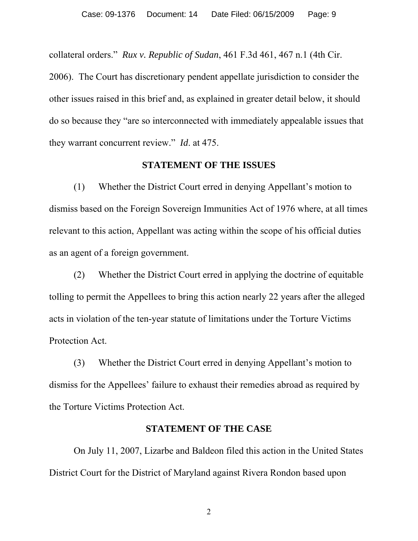collateral orders." *Rux v. Republic of Sudan*, 461 F.3d 461, 467 n.1 (4th Cir.

2006). The Court has discretionary pendent appellate jurisdiction to consider the other issues raised in this brief and, as explained in greater detail below, it should do so because they "are so interconnected with immediately appealable issues that they warrant concurrent review." *Id*. at 475.

### **STATEMENT OF THE ISSUES**

 (1) Whether the District Court erred in denying Appellant's motion to dismiss based on the Foreign Sovereign Immunities Act of 1976 where, at all times relevant to this action, Appellant was acting within the scope of his official duties as an agent of a foreign government.

(2) Whether the District Court erred in applying the doctrine of equitable tolling to permit the Appellees to bring this action nearly 22 years after the alleged acts in violation of the ten-year statute of limitations under the Torture Victims Protection Act.

 (3) Whether the District Court erred in denying Appellant's motion to dismiss for the Appellees' failure to exhaust their remedies abroad as required by the Torture Victims Protection Act.

### **STATEMENT OF THE CASE**

On July 11, 2007, Lizarbe and Baldeon filed this action in the United States District Court for the District of Maryland against Rivera Rondon based upon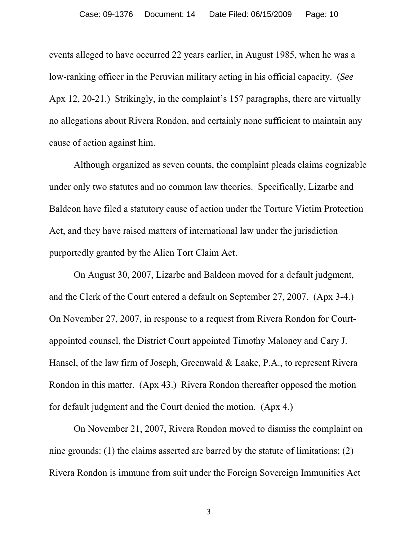events alleged to have occurred 22 years earlier, in August 1985, when he was a low-ranking officer in the Peruvian military acting in his official capacity. (*See* Apx 12, 20-21.) Strikingly, in the complaint's 157 paragraphs, there are virtually no allegations about Rivera Rondon, and certainly none sufficient to maintain any cause of action against him.

 Although organized as seven counts, the complaint pleads claims cognizable under only two statutes and no common law theories. Specifically, Lizarbe and Baldeon have filed a statutory cause of action under the Torture Victim Protection Act, and they have raised matters of international law under the jurisdiction purportedly granted by the Alien Tort Claim Act.

 On August 30, 2007, Lizarbe and Baldeon moved for a default judgment, and the Clerk of the Court entered a default on September 27, 2007. (Apx 3-4.) On November 27, 2007, in response to a request from Rivera Rondon for Courtappointed counsel, the District Court appointed Timothy Maloney and Cary J. Hansel, of the law firm of Joseph, Greenwald & Laake, P.A., to represent Rivera Rondon in this matter. (Apx 43.) Rivera Rondon thereafter opposed the motion for default judgment and the Court denied the motion. (Apx 4.)

 On November 21, 2007, Rivera Rondon moved to dismiss the complaint on nine grounds: (1) the claims asserted are barred by the statute of limitations; (2) Rivera Rondon is immune from suit under the Foreign Sovereign Immunities Act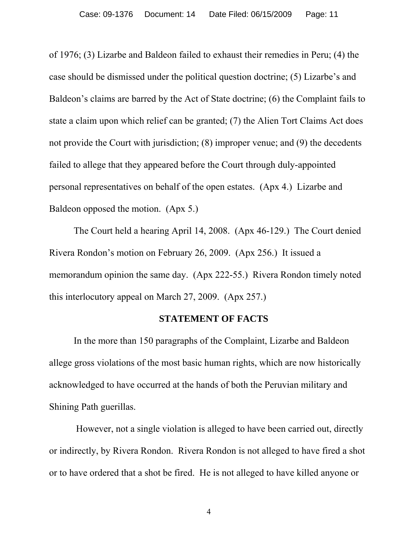of 1976; (3) Lizarbe and Baldeon failed to exhaust their remedies in Peru; (4) the case should be dismissed under the political question doctrine; (5) Lizarbe's and Baldeon's claims are barred by the Act of State doctrine; (6) the Complaint fails to state a claim upon which relief can be granted; (7) the Alien Tort Claims Act does not provide the Court with jurisdiction; (8) improper venue; and (9) the decedents failed to allege that they appeared before the Court through duly-appointed personal representatives on behalf of the open estates. (Apx 4.) Lizarbe and Baldeon opposed the motion. (Apx 5.)

The Court held a hearing April 14, 2008. (Apx 46-129.) The Court denied Rivera Rondon's motion on February 26, 2009. (Apx 256.) It issued a memorandum opinion the same day. (Apx 222-55.) Rivera Rondon timely noted this interlocutory appeal on March 27, 2009. (Apx 257.)

#### **STATEMENT OF FACTS**

In the more than 150 paragraphs of the Complaint, Lizarbe and Baldeon allege gross violations of the most basic human rights, which are now historically acknowledged to have occurred at the hands of both the Peruvian military and Shining Path guerillas.

 However, not a single violation is alleged to have been carried out, directly or indirectly, by Rivera Rondon. Rivera Rondon is not alleged to have fired a shot or to have ordered that a shot be fired. He is not alleged to have killed anyone or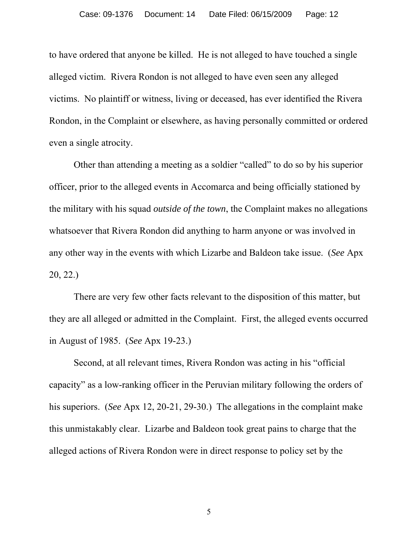to have ordered that anyone be killed. He is not alleged to have touched a single alleged victim. Rivera Rondon is not alleged to have even seen any alleged victims. No plaintiff or witness, living or deceased, has ever identified the Rivera Rondon, in the Complaint or elsewhere, as having personally committed or ordered even a single atrocity.

 Other than attending a meeting as a soldier "called" to do so by his superior officer, prior to the alleged events in Accomarca and being officially stationed by the military with his squad *outside of the town*, the Complaint makes no allegations whatsoever that Rivera Rondon did anything to harm anyone or was involved in any other way in the events with which Lizarbe and Baldeon take issue.(*See* Apx 20, 22.)

 There are very few other facts relevant to the disposition of this matter, but they are all alleged or admitted in the Complaint. First, the alleged events occurred in August of 1985. (*See* Apx 19-23.)

 Second, at all relevant times, Rivera Rondon was acting in his "official capacity" as a low-ranking officer in the Peruvian military following the orders of his superiors. (*See* Apx 12, 20-21, 29-30.) The allegations in the complaint make this unmistakably clear. Lizarbe and Baldeon took great pains to charge that the alleged actions of Rivera Rondon were in direct response to policy set by the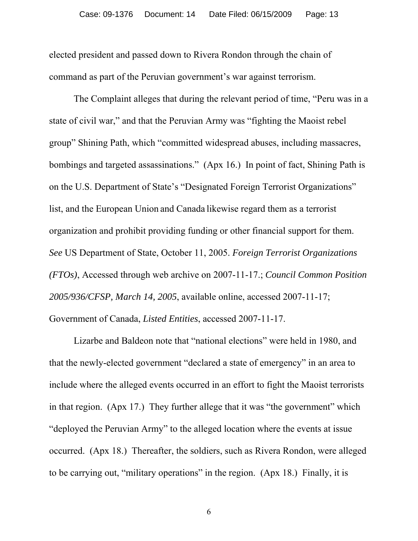elected president and passed down to Rivera Rondon through the chain of command as part of the Peruvian government's war against terrorism.

 The Complaint alleges that during the relevant period of time, "Peru was in a state of civil war," and that the Peruvian Army was "fighting the Maoist rebel group" Shining Path, which "committed widespread abuses, including massacres, bombings and targeted assassinations." (Apx 16.) In point of fact, Shining Path is on the U.S. Department of State's "Designated Foreign Terrorist Organizations" list, and the European Union and Canada likewise regard them as a terrorist organization and prohibit providing funding or other financial support for them. *See* US Department of State, October 11, 2005. *Foreign Terrorist Organizations (FTOs)*, Accessed through web archive on 2007-11-17.; *Council Common Position 2005/936/CFSP, March 14, 2005*, available online, accessed 2007-11-17; Government of Canada, *Listed Entities*, accessed 2007-11-17.

 Lizarbe and Baldeon note that "national elections" were held in 1980, and that the newly-elected government "declared a state of emergency" in an area to include where the alleged events occurred in an effort to fight the Maoist terrorists in that region. (Apx 17.) They further allege that it was "the government" which "deployed the Peruvian Army" to the alleged location where the events at issue occurred. (Apx 18.) Thereafter, the soldiers, such as Rivera Rondon, were alleged to be carrying out, "military operations" in the region. (Apx 18.) Finally, it is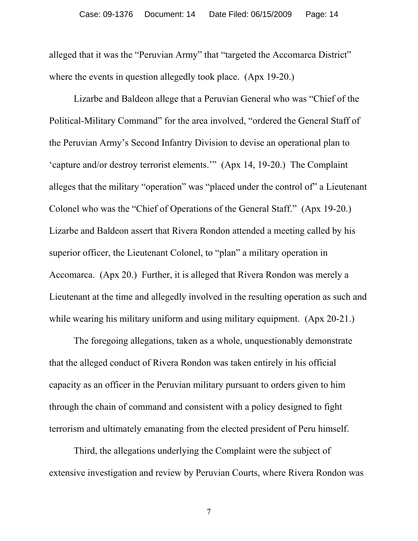alleged that it was the "Peruvian Army" that "targeted the Accomarca District" where the events in question allegedly took place. (Apx 19-20.)

 Lizarbe and Baldeon allege that a Peruvian General who was "Chief of the Political-Military Command" for the area involved, "ordered the General Staff of the Peruvian Army's Second Infantry Division to devise an operational plan to 'capture and/or destroy terrorist elements.'" (Apx 14, 19-20.) The Complaint alleges that the military "operation" was "placed under the control of" a Lieutenant Colonel who was the "Chief of Operations of the General Staff." (Apx 19-20.) Lizarbe and Baldeon assert that Rivera Rondon attended a meeting called by his superior officer, the Lieutenant Colonel, to "plan" a military operation in Accomarca. (Apx 20.) Further, it is alleged that Rivera Rondon was merely a Lieutenant at the time and allegedly involved in the resulting operation as such and while wearing his military uniform and using military equipment. (Apx 20-21.)

 The foregoing allegations, taken as a whole, unquestionably demonstrate that the alleged conduct of Rivera Rondon was taken entirely in his official capacity as an officer in the Peruvian military pursuant to orders given to him through the chain of command and consistent with a policy designed to fight terrorism and ultimately emanating from the elected president of Peru himself.

 Third, the allegations underlying the Complaint were the subject of extensive investigation and review by Peruvian Courts, where Rivera Rondon was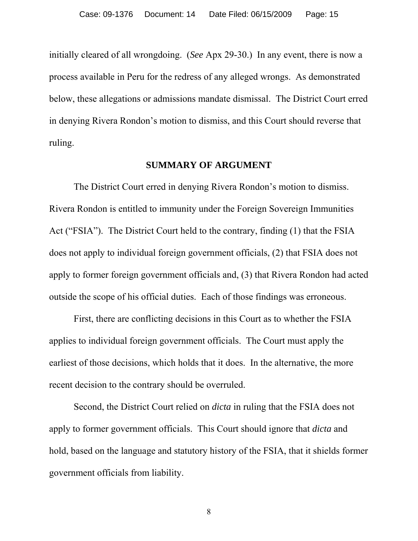initially cleared of all wrongdoing. (*See* Apx 29-30.) In any event, there is now a process available in Peru for the redress of any alleged wrongs. As demonstrated below, these allegations or admissions mandate dismissal. The District Court erred in denying Rivera Rondon's motion to dismiss, and this Court should reverse that ruling.

### **SUMMARY OF ARGUMENT**

 The District Court erred in denying Rivera Rondon's motion to dismiss. Rivera Rondon is entitled to immunity under the Foreign Sovereign Immunities Act ("FSIA"). The District Court held to the contrary, finding (1) that the FSIA does not apply to individual foreign government officials, (2) that FSIA does not apply to former foreign government officials and, (3) that Rivera Rondon had acted outside the scope of his official duties. Each of those findings was erroneous.

 First, there are conflicting decisions in this Court as to whether the FSIA applies to individual foreign government officials. The Court must apply the earliest of those decisions, which holds that it does. In the alternative, the more recent decision to the contrary should be overruled.

 Second, the District Court relied on *dicta* in ruling that the FSIA does not apply to former government officials. This Court should ignore that *dicta* and hold, based on the language and statutory history of the FSIA, that it shields former government officials from liability.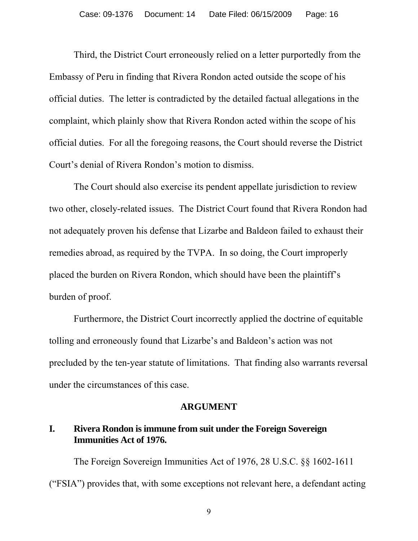Third, the District Court erroneously relied on a letter purportedly from the Embassy of Peru in finding that Rivera Rondon acted outside the scope of his official duties. The letter is contradicted by the detailed factual allegations in the complaint, which plainly show that Rivera Rondon acted within the scope of his official duties. For all the foregoing reasons, the Court should reverse the District Court's denial of Rivera Rondon's motion to dismiss.

 The Court should also exercise its pendent appellate jurisdiction to review two other, closely-related issues. The District Court found that Rivera Rondon had not adequately proven his defense that Lizarbe and Baldeon failed to exhaust their remedies abroad, as required by the TVPA. In so doing, the Court improperly placed the burden on Rivera Rondon, which should have been the plaintiff's burden of proof.

 Furthermore, the District Court incorrectly applied the doctrine of equitable tolling and erroneously found that Lizarbe's and Baldeon's action was not precluded by the ten-year statute of limitations. That finding also warrants reversal under the circumstances of this case.

#### **ARGUMENT**

### **I. Rivera Rondon is immune from suit under the Foreign Sovereign Immunities Act of 1976.**

 The Foreign Sovereign Immunities Act of 1976, 28 U.S.C. §§ 1602-1611 ("FSIA") provides that, with some exceptions not relevant here, a defendant acting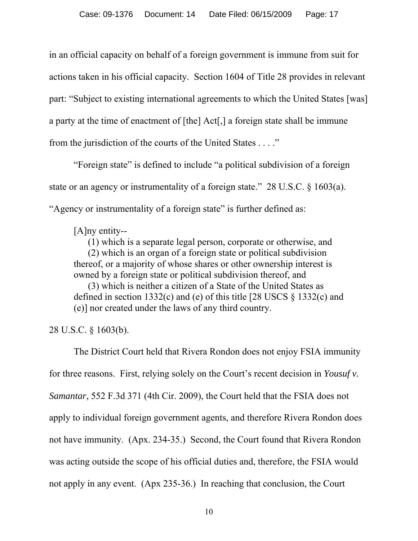in an official capacity on behalf of a foreign government is immune from suit for actions taken in his official capacity. Section 1604 of Title 28 provides in relevant part: "Subject to existing international agreements to which the United States [was] a party at the time of enactment of [the] Act[,] a foreign state shall be immune from the jurisdiction of the courts of the United States . . . ."

 "Foreign state" is defined to include "a political subdivision of a foreign state or an agency or instrumentality of a foreign state." 28 U.S.C. § 1603(a). "Agency or instrumentality of a foreign state" is further defined as:

[A]ny entity--

 (1) which is a separate legal person, corporate or otherwise, and (2) which is an organ of a foreign state or political subdivision thereof, or a majority of whose shares or other ownership interest is owned by a foreign state or political subdivision thereof, and

 (3) which is neither a citizen of a State of the United States as defined in section 1332(c) and (e) of this title [28 USCS § 1332(c) and (e)] nor created under the laws of any third country.

28 U.S.C. § 1603(b).

 The District Court held that Rivera Rondon does not enjoy FSIA immunity for three reasons. First, relying solely on the Court's recent decision in *Yousuf v. Samantar*, 552 F.3d 371 (4th Cir. 2009), the Court held that the FSIA does not apply to individual foreign government agents, and therefore Rivera Rondon does not have immunity. (Apx. 234-35.) Second, the Court found that Rivera Rondon was acting outside the scope of his official duties and, therefore, the FSIA would not apply in any event. (Apx 235-36.) In reaching that conclusion, the Court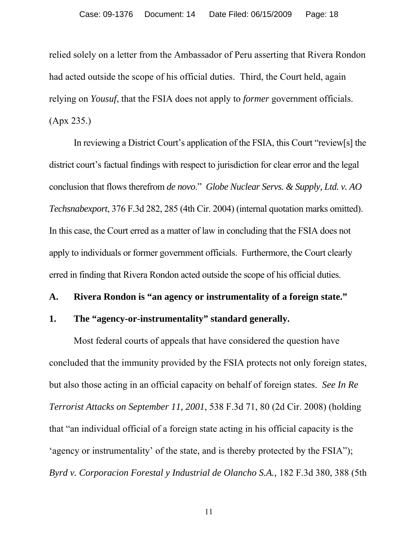relied solely on a letter from the Ambassador of Peru asserting that Rivera Rondon had acted outside the scope of his official duties. Third, the Court held, again relying on *Yousuf*, that the FSIA does not apply to *former* government officials. (Apx 235.)

In reviewing a District Court's application of the FSIA, this Court "review[s] the district court's factual findings with respect to jurisdiction for clear error and the legal conclusion that flows therefrom *de novo*." *Globe Nuclear Servs. & Supply, Ltd. v. AO Techsnabexport*, 376 F.3d 282, 285 (4th Cir. 2004) (internal quotation marks omitted). In this case, the Court erred as a matter of law in concluding that the FSIA does not apply to individuals or former government officials. Furthermore, the Court clearly erred in finding that Rivera Rondon acted outside the scope of his official duties.

#### **A. Rivera Rondon is "an agency or instrumentality of a foreign state."**

### **1. The "agency-or-instrumentality" standard generally.**

 Most federal courts of appeals that have considered the question have concluded that the immunity provided by the FSIA protects not only foreign states, but also those acting in an official capacity on behalf of foreign states. *See In Re Terrorist Attacks on September 11, 2001*, 538 F.3d 71, 80 (2d Cir. 2008) (holding that "an individual official of a foreign state acting in his official capacity is the 'agency or instrumentality' of the state, and is thereby protected by the FSIA"); *Byrd v. Corporacion Forestal y Industrial de Olancho S.A.,* 182 F.3d 380, 388 (5th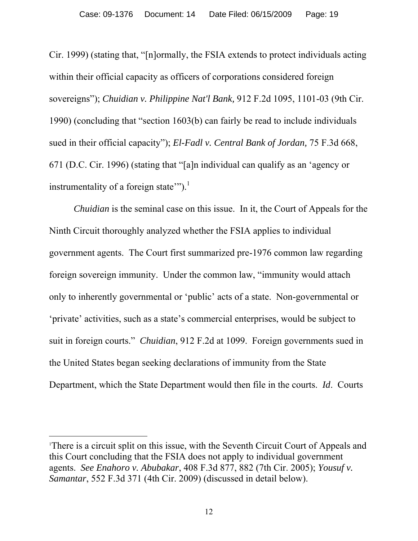Cir. 1999) (stating that, "[n]ormally, the FSIA extends to protect individuals acting within their official capacity as officers of corporations considered foreign sovereigns"); *Chuidian v. Philippine Nat'l Bank,* 912 F.2d 1095, 1101-03 (9th Cir. 1990) (concluding that "section 1603(b) can fairly be read to include individuals sued in their official capacity"); *El-Fadl v. Central Bank of Jordan,* 75 F.3d 668, 671 (D.C. Cir. 1996) (stating that "[a]n individual can qualify as an 'agency or instrumentality of a foreign state"").<sup>1</sup>

*Chuidian* is the seminal case on this issue. In it, the Court of Appeals for the Ninth Circuit thoroughly analyzed whether the FSIA applies to individual government agents. The Court first summarized pre-1976 common law regarding foreign sovereign immunity. Under the common law, "immunity would attach only to inherently governmental or 'public' acts of a state. Non-governmental or 'private' activities, such as a state's commercial enterprises, would be subject to suit in foreign courts." *Chuidian*, 912 F.2d at 1099. Foreign governments sued in the United States began seeking declarations of immunity from the State Department, which the State Department would then file in the courts. *Id*. Courts

 $\overline{a}$ 

<sup>1</sup> There is a circuit split on this issue, with the Seventh Circuit Court of Appeals and this Court concluding that the FSIA does not apply to individual government agents. *See Enahoro v. Abubakar*, 408 F.3d 877, 882 (7th Cir. 2005); *Yousuf v. Samantar*, 552 F.3d 371 (4th Cir. 2009) (discussed in detail below).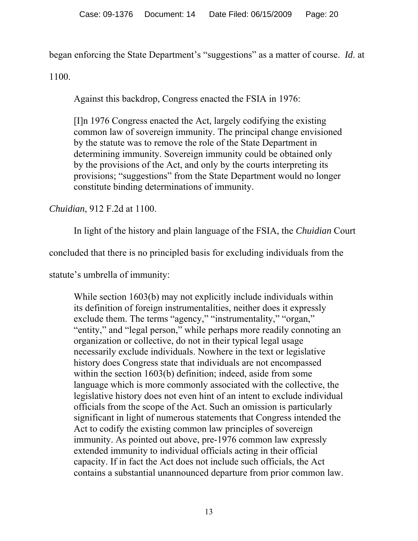began enforcing the State Department's "suggestions" as a matter of course. *Id*. at

1100.

Against this backdrop, Congress enacted the FSIA in 1976:

[I]n 1976 Congress enacted the Act, largely codifying the existing common law of sovereign immunity. The principal change envisioned by the statute was to remove the role of the State Department in determining immunity. Sovereign immunity could be obtained only by the provisions of the Act, and only by the courts interpreting its provisions; "suggestions" from the State Department would no longer constitute binding determinations of immunity.

*Chuidian*, 912 F.2d at 1100.

In light of the history and plain language of the FSIA, the *Chuidian* Court

concluded that there is no principled basis for excluding individuals from the

statute's umbrella of immunity:

While section 1603(b) may not explicitly include individuals within its definition of foreign instrumentalities, neither does it expressly exclude them. The terms "agency," "instrumentality," "organ," "entity," and "legal person," while perhaps more readily connoting an organization or collective, do not in their typical legal usage necessarily exclude individuals. Nowhere in the text or legislative history does Congress state that individuals are not encompassed within the section 1603(b) definition; indeed, aside from some language which is more commonly associated with the collective, the legislative history does not even hint of an intent to exclude individual officials from the scope of the Act. Such an omission is particularly significant in light of numerous statements that Congress intended the Act to codify the existing common law principles of sovereign immunity. As pointed out above, pre-1976 common law expressly extended immunity to individual officials acting in their official capacity. If in fact the Act does not include such officials, the Act contains a substantial unannounced departure from prior common law.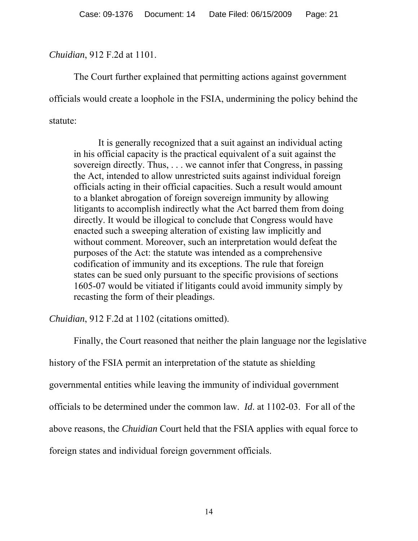## *Chuidian*, 912 F.2d at 1101.

 The Court further explained that permitting actions against government officials would create a loophole in the FSIA, undermining the policy behind the statute:

It is generally recognized that a suit against an individual acting in his official capacity is the practical equivalent of a suit against the sovereign directly. Thus, . . . we cannot infer that Congress, in passing the Act, intended to allow unrestricted suits against individual foreign officials acting in their official capacities. Such a result would amount to a blanket abrogation of foreign sovereign immunity by allowing litigants to accomplish indirectly what the Act barred them from doing directly. It would be illogical to conclude that Congress would have enacted such a sweeping alteration of existing law implicitly and without comment. Moreover, such an interpretation would defeat the purposes of the Act: the statute was intended as a comprehensive codification of immunity and its exceptions. The rule that foreign states can be sued only pursuant to the specific provisions of sections 1605-07 would be vitiated if litigants could avoid immunity simply by recasting the form of their pleadings.

*Chuidian*, 912 F.2d at 1102 (citations omitted).

 Finally, the Court reasoned that neither the plain language nor the legislative history of the FSIA permit an interpretation of the statute as shielding governmental entities while leaving the immunity of individual government officials to be determined under the common law. *Id*. at 1102-03. For all of the above reasons, the *Chuidian* Court held that the FSIA applies with equal force to foreign states and individual foreign government officials.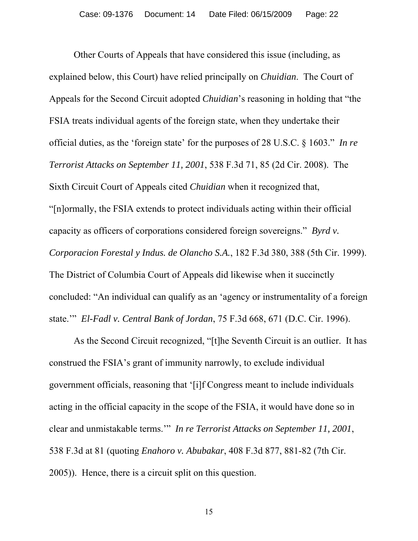Other Courts of Appeals that have considered this issue (including, as explained below, this Court) have relied principally on *Chuidian*. The Court of Appeals for the Second Circuit adopted *Chuidian*'s reasoning in holding that "the FSIA treats individual agents of the foreign state, when they undertake their official duties, as the 'foreign state' for the purposes of 28 U.S.C. § 1603." *In re Terrorist Attacks on September 11, 2001*, 538 F.3d 71, 85 (2d Cir. 2008). The Sixth Circuit Court of Appeals cited *Chuidian* when it recognized that, "[n]ormally, the FSIA extends to protect individuals acting within their official capacity as officers of corporations considered foreign sovereigns." *Byrd v. Corporacion Forestal y Indus. de Olancho S.A.*, 182 F.3d 380, 388 (5th Cir. 1999). The District of Columbia Court of Appeals did likewise when it succinctly concluded: "An individual can qualify as an 'agency or instrumentality of a foreign state.'" *El-Fadl v. Central Bank of Jordan*, 75 F.3d 668, 671 (D.C. Cir. 1996).

 As the Second Circuit recognized, "[t]he Seventh Circuit is an outlier. It has construed the FSIA's grant of immunity narrowly, to exclude individual government officials, reasoning that '[i]f Congress meant to include individuals acting in the official capacity in the scope of the FSIA, it would have done so in clear and unmistakable terms.'" *In re Terrorist Attacks on September 11, 2001*, 538 F.3d at 81 (quoting *Enahoro v. Abubakar*, 408 F.3d 877, 881-82 (7th Cir. 2005)). Hence, there is a circuit split on this question.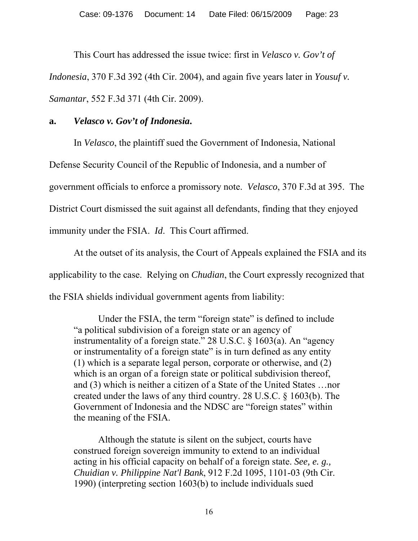This Court has addressed the issue twice: first in *Velasco v. Gov't of Indonesia*, 370 F.3d 392 (4th Cir. 2004), and again five years later in *Yousuf v. Samantar*, 552 F.3d 371 (4th Cir. 2009).

# **a.** *Velasco v. Gov't of Indonesia***.**

In *Velasco*, the plaintiff sued the Government of Indonesia, National

Defense Security Council of the Republic of Indonesia, and a number of

government officials to enforce a promissory note. *Velasco*, 370 F.3d at 395. The

District Court dismissed the suit against all defendants, finding that they enjoyed

immunity under the FSIA. *Id*. This Court affirmed.

At the outset of its analysis, the Court of Appeals explained the FSIA and its applicability to the case. Relying on *Chudian*, the Court expressly recognized that the FSIA shields individual government agents from liability:

Under the FSIA, the term "foreign state" is defined to include "a political subdivision of a foreign state or an agency of instrumentality of a foreign state." 28 U.S.C. § 1603(a). An "agency or instrumentality of a foreign state" is in turn defined as any entity (1) which is a separate legal person, corporate or otherwise, and (2) which is an organ of a foreign state or political subdivision thereof, and (3) which is neither a citizen of a State of the United States …nor created under the laws of any third country. 28 U.S.C. § 1603(b). The Government of Indonesia and the NDSC are "foreign states" within the meaning of the FSIA.

Although the statute is silent on the subject, courts have construed foreign sovereign immunity to extend to an individual acting in his official capacity on behalf of a foreign state. *See, e. g., Chuidian v. Philippine Nat'l Bank*, 912 F.2d 1095, 1101-03 (9th Cir. 1990) (interpreting section 1603(b) to include individuals sued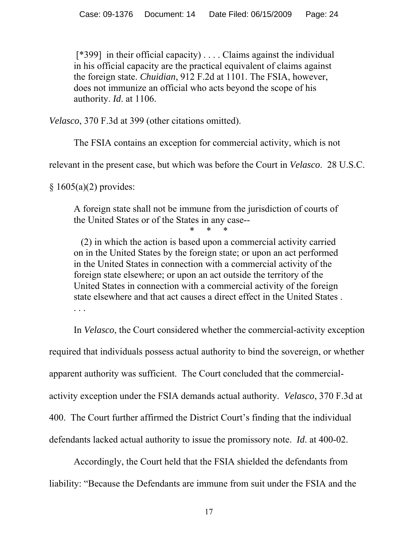[\*399] in their official capacity) . . . . Claims against the individual in his official capacity are the practical equivalent of claims against the foreign state. *Chuidian*, 912 F.2d at 1101. The FSIA, however, does not immunize an official who acts beyond the scope of his authority. *Id*. at 1106.

*Velasco*, 370 F.3d at 399 (other citations omitted).

The FSIA contains an exception for commercial activity, which is not

relevant in the present case, but which was before the Court in *Velasco*. 28 U.S.C.

 $§ 1605(a)(2)$  provides:

A foreign state shall not be immune from the jurisdiction of courts of the United States or of the States in any case--

\* \* \*

 (2) in which the action is based upon a commercial activity carried on in the United States by the foreign state; or upon an act performed in the United States in connection with a commercial activity of the foreign state elsewhere; or upon an act outside the territory of the United States in connection with a commercial activity of the foreign state elsewhere and that act causes a direct effect in the United States .

 In *Velasco*, the Court considered whether the commercial-activity exception required that individuals possess actual authority to bind the sovereign, or whether apparent authority was sufficient. The Court concluded that the commercialactivity exception under the FSIA demands actual authority. *Velasco*, 370 F.3d at 400. The Court further affirmed the District Court's finding that the individual defendants lacked actual authority to issue the promissory note. *Id*. at 400-02.

Accordingly, the Court held that the FSIA shielded the defendants from liability: "Because the Defendants are immune from suit under the FSIA and the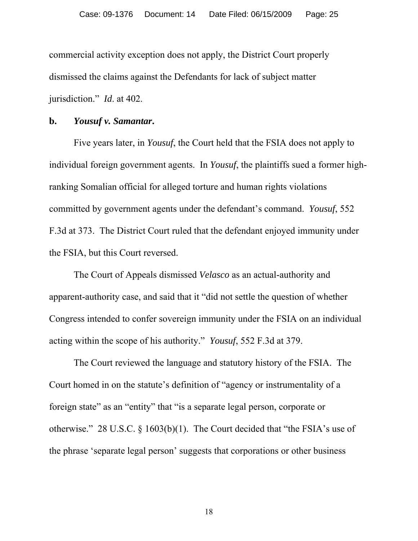commercial activity exception does not apply, the District Court properly dismissed the claims against the Defendants for lack of subject matter jurisdiction." *Id*. at 402.

#### **b.** *Yousuf v. Samantar***.**

 Five years later, in *Yousuf*, the Court held that the FSIA does not apply to individual foreign government agents. In *Yousuf*, the plaintiffs sued a former highranking Somalian official for alleged torture and human rights violations committed by government agents under the defendant's command. *Yousuf*, 552 F.3d at 373. The District Court ruled that the defendant enjoyed immunity under the FSIA, but this Court reversed.

 The Court of Appeals dismissed *Velasco* as an actual-authority and apparent-authority case, and said that it "did not settle the question of whether Congress intended to confer sovereign immunity under the FSIA on an individual acting within the scope of his authority." *Yousuf*, 552 F.3d at 379.

The Court reviewed the language and statutory history of the FSIA. The Court homed in on the statute's definition of "agency or instrumentality of a foreign state" as an "entity" that "is a separate legal person, corporate or otherwise." 28 U.S.C. § 1603(b)(1). The Court decided that "the FSIA's use of the phrase 'separate legal person' suggests that corporations or other business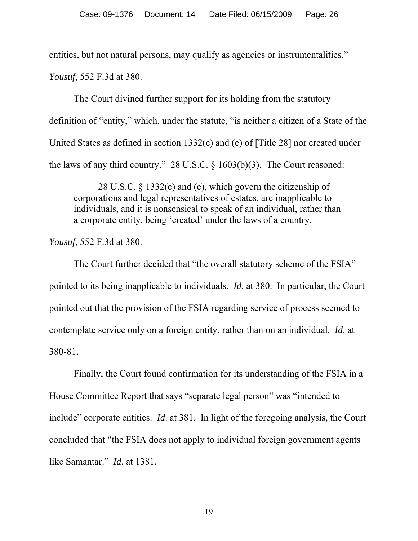entities, but not natural persons, may qualify as agencies or instrumentalities."

*Yousuf*, 552 F.3d at 380.

The Court divined further support for its holding from the statutory definition of "entity," which, under the statute, "is neither a citizen of a State of the United States as defined in section 1332(c) and (e) of [Title 28] nor created under the laws of any third country." 28 U.S.C. § 1603(b)(3). The Court reasoned:

28 U.S.C. § 1332(c) and (e), which govern the citizenship of corporations and legal representatives of estates, are inapplicable to individuals, and it is nonsensical to speak of an individual, rather than a corporate entity, being 'created' under the laws of a country.

*Yousuf*, 552 F.3d at 380.

The Court further decided that "the overall statutory scheme of the FSIA" pointed to its being inapplicable to individuals. *Id*. at 380. In particular, the Court pointed out that the provision of the FSIA regarding service of process seemed to contemplate service only on a foreign entity, rather than on an individual. *Id*. at 380-81.

Finally, the Court found confirmation for its understanding of the FSIA in a House Committee Report that says "separate legal person" was "intended to include" corporate entities. *Id*. at 381. In light of the foregoing analysis, the Court concluded that "the FSIA does not apply to individual foreign government agents like Samantar." *Id*. at 1381.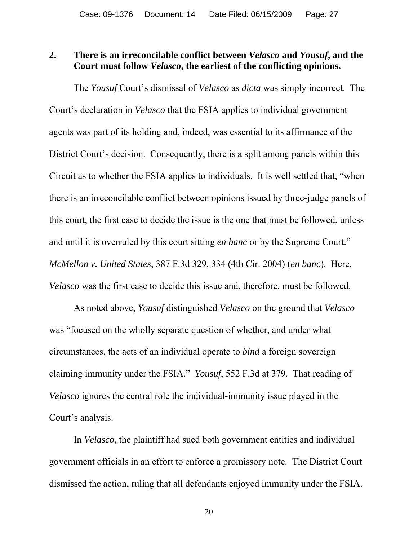### **2. There is an irreconcilable conflict between** *Velasco* **and** *Yousuf***, and the Court must follow** *Velasco***, the earliest of the conflicting opinions.**

 The *Yousuf* Court's dismissal of *Velasco* as *dicta* was simply incorrect. The Court's declaration in *Velasco* that the FSIA applies to individual government agents was part of its holding and, indeed, was essential to its affirmance of the District Court's decision. Consequently, there is a split among panels within this Circuit as to whether the FSIA applies to individuals. It is well settled that, "when there is an irreconcilable conflict between opinions issued by three-judge panels of this court, the first case to decide the issue is the one that must be followed, unless and until it is overruled by this court sitting *en banc* or by the Supreme Court." *McMellon v. United States*, 387 F.3d 329, 334 (4th Cir. 2004) (*en banc*). Here, *Velasco* was the first case to decide this issue and, therefore, must be followed.

As noted above, *Yousuf* distinguished *Velasco* on the ground that *Velasco* was "focused on the wholly separate question of whether, and under what circumstances, the acts of an individual operate to *bind* a foreign sovereign claiming immunity under the FSIA." *Yousuf*, 552 F.3d at 379. That reading of *Velasco* ignores the central role the individual-immunity issue played in the Court's analysis.

In *Velasco*, the plaintiff had sued both government entities and individual government officials in an effort to enforce a promissory note. The District Court dismissed the action, ruling that all defendants enjoyed immunity under the FSIA.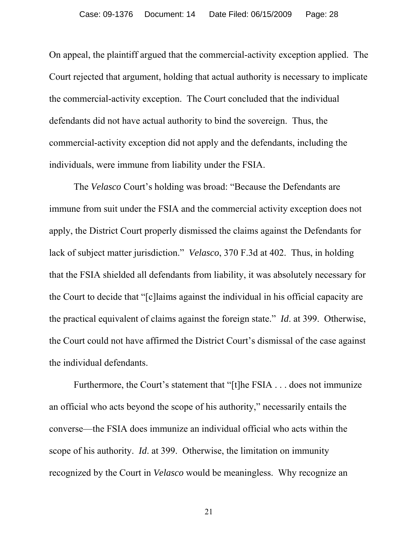On appeal, the plaintiff argued that the commercial-activity exception applied. The Court rejected that argument, holding that actual authority is necessary to implicate the commercial-activity exception. The Court concluded that the individual defendants did not have actual authority to bind the sovereign. Thus, the commercial-activity exception did not apply and the defendants, including the individuals, were immune from liability under the FSIA.

The *Velasco* Court's holding was broad: "Because the Defendants are immune from suit under the FSIA and the commercial activity exception does not apply, the District Court properly dismissed the claims against the Defendants for lack of subject matter jurisdiction." *Velasco*, 370 F.3d at 402. Thus, in holding that the FSIA shielded all defendants from liability, it was absolutely necessary for the Court to decide that "[c]laims against the individual in his official capacity are the practical equivalent of claims against the foreign state." *Id*. at 399. Otherwise, the Court could not have affirmed the District Court's dismissal of the case against the individual defendants.

Furthermore, the Court's statement that "[t]he FSIA . . . does not immunize an official who acts beyond the scope of his authority," necessarily entails the converse—the FSIA does immunize an individual official who acts within the scope of his authority. *Id*. at 399. Otherwise, the limitation on immunity recognized by the Court in *Velasco* would be meaningless. Why recognize an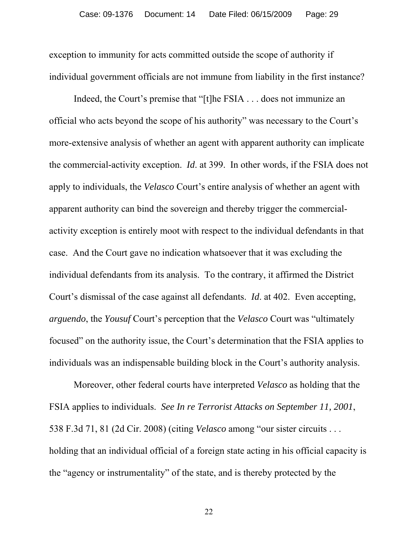exception to immunity for acts committed outside the scope of authority if individual government officials are not immune from liability in the first instance?

Indeed, the Court's premise that "[t]he FSIA . . . does not immunize an official who acts beyond the scope of his authority" was necessary to the Court's more-extensive analysis of whether an agent with apparent authority can implicate the commercial-activity exception. *Id*. at 399. In other words, if the FSIA does not apply to individuals, the *Velasco* Court's entire analysis of whether an agent with apparent authority can bind the sovereign and thereby trigger the commercialactivity exception is entirely moot with respect to the individual defendants in that case. And the Court gave no indication whatsoever that it was excluding the individual defendants from its analysis. To the contrary, it affirmed the District Court's dismissal of the case against all defendants. *Id*. at 402. Even accepting, *arguendo*, the *Yousuf* Court's perception that the *Velasco* Court was "ultimately focused" on the authority issue, the Court's determination that the FSIA applies to individuals was an indispensable building block in the Court's authority analysis.

Moreover, other federal courts have interpreted *Velasco* as holding that the FSIA applies to individuals. *See In re Terrorist Attacks on September 11, 2001*, 538 F.3d 71, 81 (2d Cir. 2008) (citing *Velasco* among "our sister circuits . . . holding that an individual official of a foreign state acting in his official capacity is the "agency or instrumentality" of the state, and is thereby protected by the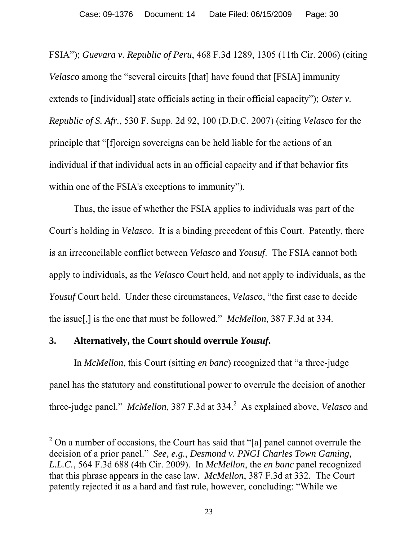FSIA"); *Guevara v. Republic of Peru*, 468 F.3d 1289, 1305 (11th Cir. 2006) (citing *Velasco* among the "several circuits [that] have found that [FSIA] immunity extends to [individual] state officials acting in their official capacity"); *Oster v. Republic of S. Afr.*, 530 F. Supp. 2d 92, 100 (D.D.C. 2007) (citing *Velasco* for the principle that "[f]oreign sovereigns can be held liable for the actions of an individual if that individual acts in an official capacity and if that behavior fits within one of the FSIA's exceptions to immunity").

Thus, the issue of whether the FSIA applies to individuals was part of the Court's holding in *Velasco*. It is a binding precedent of this Court. Patently, there is an irreconcilable conflict between *Velasco* and *Yousuf*. The FSIA cannot both apply to individuals, as the *Velasco* Court held, and not apply to individuals, as the *Yousuf* Court held. Under these circumstances, *Velasco*, "the first case to decide the issue[,] is the one that must be followed." *McMellon*, 387 F.3d at 334.

## **3. Alternatively, the Court should overrule** *Yousuf***.**

 $\overline{a}$ 

 In *McMellon*, this Court (sitting *en banc*) recognized that "a three-judge panel has the statutory and constitutional power to overrule the decision of another three-judge panel." *McMellon*, 387 F.3d at 334.<sup>2</sup> As explained above, *Velasco* and

<sup>&</sup>lt;sup>2</sup> On a number of occasions, the Court has said that "[a] panel cannot overrule the decision of a prior panel." *See, e.g.*, *Desmond v. PNGI Charles Town Gaming, L.L.C.*, 564 F.3d 688 (4th Cir. 2009). In *McMellon*, the *en banc* panel recognized that this phrase appears in the case law. *McMellon*, 387 F.3d at 332. The Court patently rejected it as a hard and fast rule, however, concluding: "While we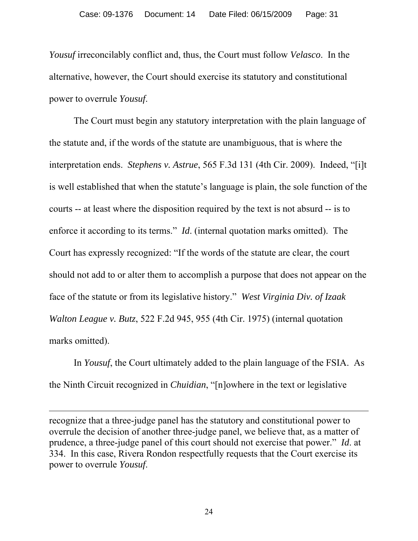*Yousuf* irreconcilably conflict and, thus, the Court must follow *Velasco*. In the alternative, however, the Court should exercise its statutory and constitutional power to overrule *Yousuf*.

 The Court must begin any statutory interpretation with the plain language of the statute and, if the words of the statute are unambiguous, that is where the interpretation ends. *Stephens v. Astrue*, 565 F.3d 131 (4th Cir. 2009). Indeed, "[i]t is well established that when the statute's language is plain, the sole function of the courts -- at least where the disposition required by the text is not absurd -- is to enforce it according to its terms." *Id*. (internal quotation marks omitted). The Court has expressly recognized: "If the words of the statute are clear, the court should not add to or alter them to accomplish a purpose that does not appear on the face of the statute or from its legislative history." *West Virginia Div. of Izaak Walton League v. Butz*, 522 F.2d 945, 955 (4th Cir. 1975) (internal quotation marks omitted).

 In *Yousuf*, the Court ultimately added to the plain language of the FSIA. As the Ninth Circuit recognized in *Chuidian*, "[n]owhere in the text or legislative

recognize that a three-judge panel has the statutory and constitutional power to overrule the decision of another three-judge panel, we believe that, as a matter of prudence, a three-judge panel of this court should not exercise that power." *Id*. at 334. In this case, Rivera Rondon respectfully requests that the Court exercise its power to overrule *Yousuf*.

 $\overline{a}$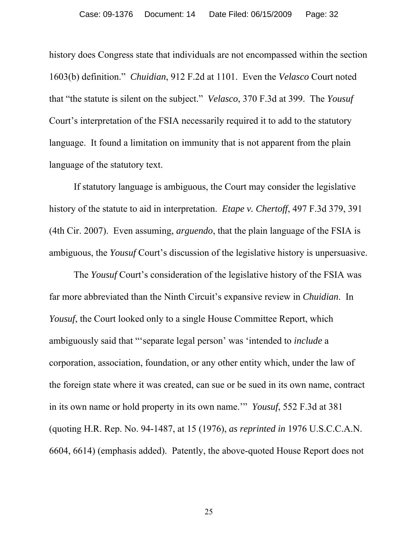history does Congress state that individuals are not encompassed within the section 1603(b) definition." *Chuidian*, 912 F.2d at 1101. Even the *Velasco* Court noted that "the statute is silent on the subject." *Velasco*, 370 F.3d at 399. The *Yousuf* Court's interpretation of the FSIA necessarily required it to add to the statutory language. It found a limitation on immunity that is not apparent from the plain language of the statutory text.

 If statutory language is ambiguous, the Court may consider the legislative history of the statute to aid in interpretation. *Etape v. Chertoff*, 497 F.3d 379, 391 (4th Cir. 2007). Even assuming, *arguendo*, that the plain language of the FSIA is ambiguous, the *Yousuf* Court's discussion of the legislative history is unpersuasive.

 The *Yousuf* Court's consideration of the legislative history of the FSIA was far more abbreviated than the Ninth Circuit's expansive review in *Chuidian*. In *Yousuf*, the Court looked only to a single House Committee Report, which ambiguously said that "'separate legal person' was 'intended to *include* a corporation, association, foundation, or any other entity which, under the law of the foreign state where it was created, can sue or be sued in its own name, contract in its own name or hold property in its own name.'" *Yousuf*, 552 F.3d at 381 (quoting H.R. Rep. No. 94-1487, at 15 (1976), *as reprinted in* 1976 U.S.C.C.A.N. 6604, 6614) (emphasis added). Patently, the above-quoted House Report does not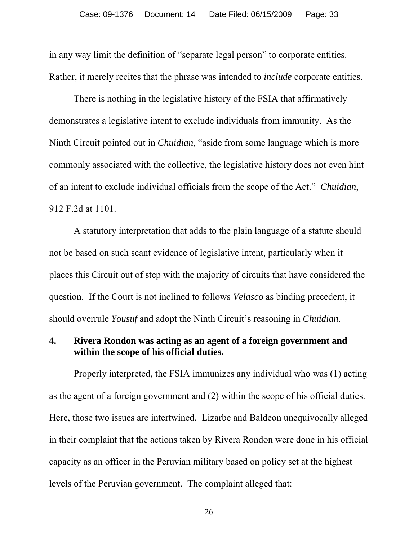in any way limit the definition of "separate legal person" to corporate entities. Rather, it merely recites that the phrase was intended to *include* corporate entities.

There is nothing in the legislative history of the FSIA that affirmatively demonstrates a legislative intent to exclude individuals from immunity. As the Ninth Circuit pointed out in *Chuidian*, "aside from some language which is more commonly associated with the collective, the legislative history does not even hint of an intent to exclude individual officials from the scope of the Act." *Chuidian*, 912 F.2d at 1101.

 A statutory interpretation that adds to the plain language of a statute should not be based on such scant evidence of legislative intent, particularly when it places this Circuit out of step with the majority of circuits that have considered the question. If the Court is not inclined to follows *Velasco* as binding precedent, it should overrule *Yousuf* and adopt the Ninth Circuit's reasoning in *Chuidian*.

### **4. Rivera Rondon was acting as an agent of a foreign government and within the scope of his official duties.**

Properly interpreted, the FSIA immunizes any individual who was (1) acting as the agent of a foreign government and (2) within the scope of his official duties. Here, those two issues are intertwined. Lizarbe and Baldeon unequivocally alleged in their complaint that the actions taken by Rivera Rondon were done in his official capacity as an officer in the Peruvian military based on policy set at the highest levels of the Peruvian government. The complaint alleged that: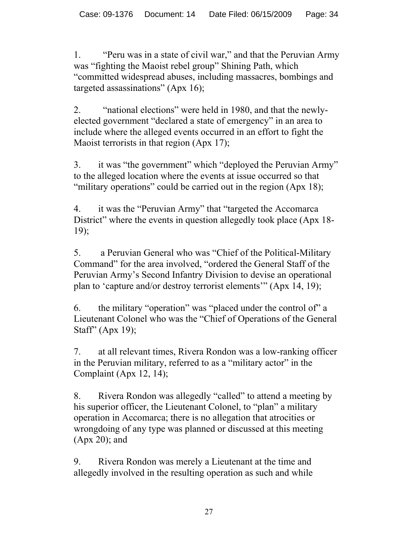1. "Peru was in a state of civil war," and that the Peruvian Army was "fighting the Maoist rebel group" Shining Path, which "committed widespread abuses, including massacres, bombings and targeted assassinations" (Apx 16);

2. "national elections" were held in 1980, and that the newlyelected government "declared a state of emergency" in an area to include where the alleged events occurred in an effort to fight the Maoist terrorists in that region (Apx 17);

3. it was "the government" which "deployed the Peruvian Army" to the alleged location where the events at issue occurred so that "military operations" could be carried out in the region (Apx 18);

4. it was the "Peruvian Army" that "targeted the Accomarca District" where the events in question allegedly took place (Apx 18-19);

5. a Peruvian General who was "Chief of the Political-Military Command" for the area involved, "ordered the General Staff of the Peruvian Army's Second Infantry Division to devise an operational plan to 'capture and/or destroy terrorist elements'" (Apx 14, 19);

6. the military "operation" was "placed under the control of" a Lieutenant Colonel who was the "Chief of Operations of the General Staff" (Apx 19);

7. at all relevant times, Rivera Rondon was a low-ranking officer in the Peruvian military, referred to as a "military actor" in the Complaint (Apx 12, 14);

8. Rivera Rondon was allegedly "called" to attend a meeting by his superior officer, the Lieutenant Colonel, to "plan" a military operation in Accomarca; there is no allegation that atrocities or wrongdoing of any type was planned or discussed at this meeting (Apx 20); and

9. Rivera Rondon was merely a Lieutenant at the time and allegedly involved in the resulting operation as such and while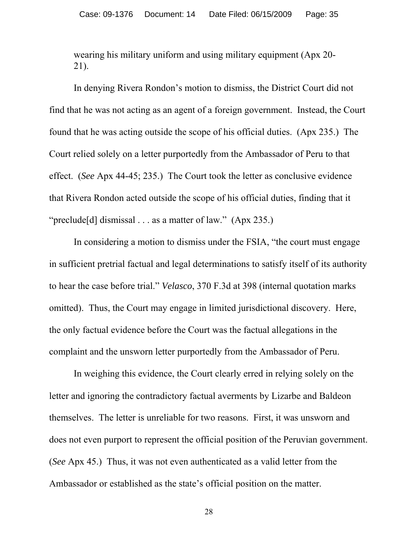wearing his military uniform and using military equipment (Apx 20- 21).

 In denying Rivera Rondon's motion to dismiss, the District Court did not find that he was not acting as an agent of a foreign government. Instead, the Court found that he was acting outside the scope of his official duties. (Apx 235.) The Court relied solely on a letter purportedly from the Ambassador of Peru to that effect. (*See* Apx 44-45; 235.) The Court took the letter as conclusive evidence that Rivera Rondon acted outside the scope of his official duties, finding that it "preclude[d] dismissal . . . as a matter of law." (Apx 235.)

In considering a motion to dismiss under the FSIA, "the court must engage in sufficient pretrial factual and legal determinations to satisfy itself of its authority to hear the case before trial." *Velasco*, 370 F.3d at 398 (internal quotation marks omitted). Thus, the Court may engage in limited jurisdictional discovery. Here, the only factual evidence before the Court was the factual allegations in the complaint and the unsworn letter purportedly from the Ambassador of Peru.

In weighing this evidence, the Court clearly erred in relying solely on the letter and ignoring the contradictory factual averments by Lizarbe and Baldeon themselves. The letter is unreliable for two reasons. First, it was unsworn and does not even purport to represent the official position of the Peruvian government. (*See* Apx 45.) Thus, it was not even authenticated as a valid letter from the Ambassador or established as the state's official position on the matter.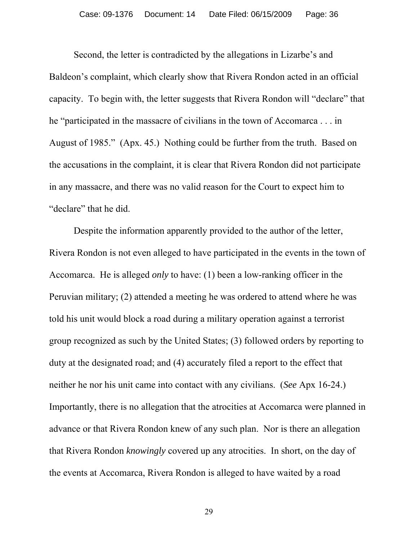Second, the letter is contradicted by the allegations in Lizarbe's and Baldeon's complaint, which clearly show that Rivera Rondon acted in an official capacity. To begin with, the letter suggests that Rivera Rondon will "declare" that he "participated in the massacre of civilians in the town of Accomarca . . . in August of 1985." (Apx. 45.) Nothing could be further from the truth. Based on the accusations in the complaint, it is clear that Rivera Rondon did not participate in any massacre, and there was no valid reason for the Court to expect him to "declare" that he did.

 Despite the information apparently provided to the author of the letter, Rivera Rondon is not even alleged to have participated in the events in the town of Accomarca. He is alleged *only* to have: (1) been a low-ranking officer in the Peruvian military; (2) attended a meeting he was ordered to attend where he was told his unit would block a road during a military operation against a terrorist group recognized as such by the United States; (3) followed orders by reporting to duty at the designated road; and (4) accurately filed a report to the effect that neither he nor his unit came into contact with any civilians. (*See* Apx 16-24.) Importantly, there is no allegation that the atrocities at Accomarca were planned in advance or that Rivera Rondon knew of any such plan. Nor is there an allegation that Rivera Rondon *knowingly* covered up any atrocities. In short, on the day of the events at Accomarca, Rivera Rondon is alleged to have waited by a road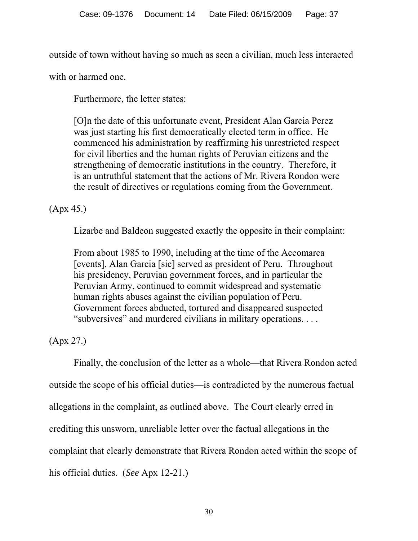outside of town without having so much as seen a civilian, much less interacted

with or harmed one.

Furthermore, the letter states:

[O]n the date of this unfortunate event, President Alan Garcia Perez was just starting his first democratically elected term in office. He commenced his administration by reaffirming his unrestricted respect for civil liberties and the human rights of Peruvian citizens and the strengthening of democratic institutions in the country. Therefore, it is an untruthful statement that the actions of Mr. Rivera Rondon were the result of directives or regulations coming from the Government.

# (Apx 45.)

Lizarbe and Baldeon suggested exactly the opposite in their complaint:

From about 1985 to 1990, including at the time of the Accomarca [events], Alan Garcia [sic] served as president of Peru. Throughout his presidency, Peruvian government forces, and in particular the Peruvian Army, continued to commit widespread and systematic human rights abuses against the civilian population of Peru. Government forces abducted, tortured and disappeared suspected "subversives" and murdered civilians in military operations. . . .

(Apx 27.)

Finally, the conclusion of the letter as a whole—that Rivera Rondon acted outside the scope of his official duties—is contradicted by the numerous factual allegations in the complaint, as outlined above. The Court clearly erred in crediting this unsworn, unreliable letter over the factual allegations in the complaint that clearly demonstrate that Rivera Rondon acted within the scope of his official duties. (*See* Apx 12-21.)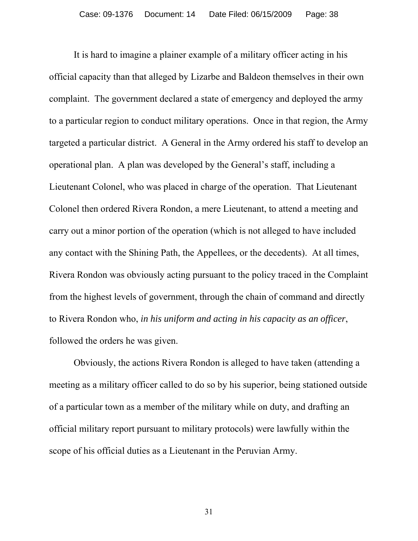It is hard to imagine a plainer example of a military officer acting in his official capacity than that alleged by Lizarbe and Baldeon themselves in their own complaint. The government declared a state of emergency and deployed the army to a particular region to conduct military operations. Once in that region, the Army targeted a particular district. A General in the Army ordered his staff to develop an operational plan. A plan was developed by the General's staff, including a Lieutenant Colonel, who was placed in charge of the operation. That Lieutenant Colonel then ordered Rivera Rondon, a mere Lieutenant, to attend a meeting and carry out a minor portion of the operation (which is not alleged to have included any contact with the Shining Path, the Appellees, or the decedents). At all times, Rivera Rondon was obviously acting pursuant to the policy traced in the Complaint from the highest levels of government, through the chain of command and directly to Rivera Rondon who, *in his uniform and acting in his capacity as an officer*, followed the orders he was given.

 Obviously, the actions Rivera Rondon is alleged to have taken (attending a meeting as a military officer called to do so by his superior, being stationed outside of a particular town as a member of the military while on duty, and drafting an official military report pursuant to military protocols) were lawfully within the scope of his official duties as a Lieutenant in the Peruvian Army.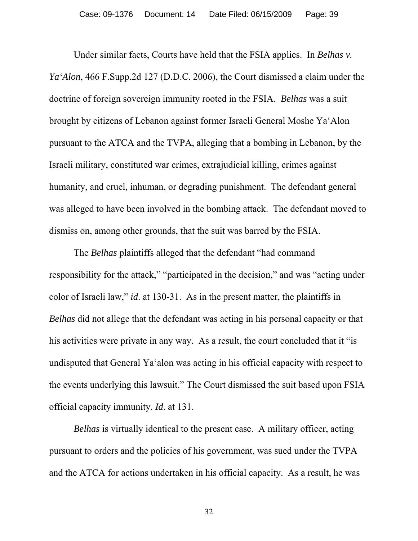Under similar facts, Courts have held that the FSIA applies. In *Belhas v. Ya'Alon*, 466 F.Supp.2d 127 (D.D.C. 2006), the Court dismissed a claim under the doctrine of foreign sovereign immunity rooted in the FSIA. *Belhas* was a suit brought by citizens of Lebanon against former Israeli General Moshe Ya'Alon pursuant to the ATCA and the TVPA, alleging that a bombing in Lebanon, by the Israeli military, constituted war crimes, extrajudicial killing, crimes against humanity, and cruel, inhuman, or degrading punishment. The defendant general was alleged to have been involved in the bombing attack. The defendant moved to dismiss on, among other grounds, that the suit was barred by the FSIA.

 The *Belhas* plaintiffs alleged that the defendant "had command responsibility for the attack," "participated in the decision," and was "acting under color of Israeli law," *id*. at 130-31. As in the present matter, the plaintiffs in *Belhas* did not allege that the defendant was acting in his personal capacity or that his activities were private in any way. As a result, the court concluded that it "is undisputed that General Ya'alon was acting in his official capacity with respect to the events underlying this lawsuit." The Court dismissed the suit based upon FSIA official capacity immunity. *Id*. at 131.

*Belhas* is virtually identical to the present case. A military officer, acting pursuant to orders and the policies of his government, was sued under the TVPA and the ATCA for actions undertaken in his official capacity. As a result, he was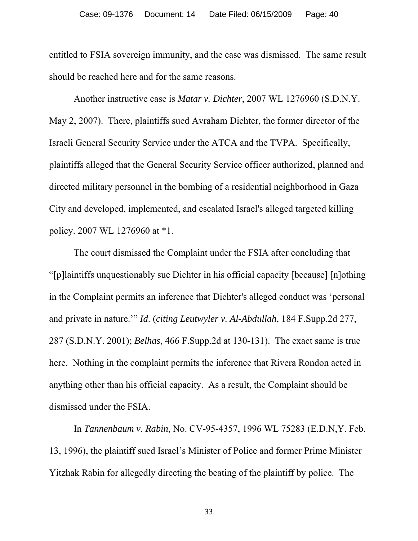entitled to FSIA sovereign immunity, and the case was dismissed. The same result should be reached here and for the same reasons.

 Another instructive case is *Matar v. Dichter*, 2007 WL 1276960 (S.D.N.Y. May 2, 2007). There, plaintiffs sued Avraham Dichter, the former director of the Israeli General Security Service under the ATCA and the TVPA. Specifically, plaintiffs alleged that the General Security Service officer authorized, planned and directed military personnel in the bombing of a residential neighborhood in Gaza City and developed, implemented, and escalated Israel's alleged targeted killing policy. 2007 WL 1276960 at \*1.

 The court dismissed the Complaint under the FSIA after concluding that "[p]laintiffs unquestionably sue Dichter in his official capacity [because] [n]othing in the Complaint permits an inference that Dichter's alleged conduct was 'personal and private in nature.'" *Id*. (*citing Leutwyler v. Al-Abdullah*, 184 F.Supp.2d 277, 287 (S.D.N.Y. 2001); *Belhas*, 466 F.Supp.2d at 130-131). The exact same is true here. Nothing in the complaint permits the inference that Rivera Rondon acted in anything other than his official capacity. As a result, the Complaint should be dismissed under the FSIA.

 In *Tannenbaum v. Rabin*, No. CV-95-4357, 1996 WL 75283 (E.D.N,Y. Feb. 13, 1996), the plaintiff sued Israel's Minister of Police and former Prime Minister Yitzhak Rabin for allegedly directing the beating of the plaintiff by police. The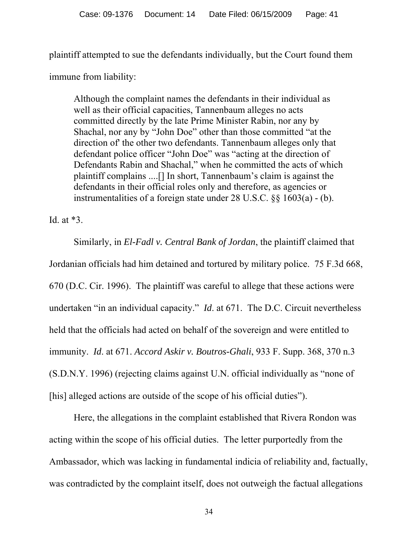plaintiff attempted to sue the defendants individually, but the Court found them

immune from liability:

Although the complaint names the defendants in their individual as well as their official capacities, Tannenbaum alleges no acts committed directly by the late Prime Minister Rabin, nor any by Shachal, nor any by "John Doe" other than those committed "at the direction of' the other two defendants. Tannenbaum alleges only that defendant police officer "John Doe" was "acting at the direction of Defendants Rabin and Shachal," when he committed the acts of which plaintiff complains ....[] In short, Tannenbaum's claim is against the defendants in their official roles only and therefore, as agencies or instrumentalities of a foreign state under 28 U.S.C. §§ 1603(a) - (b).

Id. at \*3.

Similarly, in *El-Fadl v. Central Bank of Jordan*, the plaintiff claimed that Jordanian officials had him detained and tortured by military police. 75 F.3d 668, 670 (D.C. Cir. 1996). The plaintiff was careful to allege that these actions were undertaken "in an individual capacity." *Id*. at 671. The D.C. Circuit nevertheless held that the officials had acted on behalf of the sovereign and were entitled to immunity. *Id*. at 671. *Accord Askir v. Boutros-Ghali*, 933 F. Supp. 368, 370 n.3 (S.D.N.Y. 1996) (rejecting claims against U.N. official individually as "none of [his] alleged actions are outside of the scope of his official duties").

Here, the allegations in the complaint established that Rivera Rondon was acting within the scope of his official duties. The letter purportedly from the Ambassador, which was lacking in fundamental indicia of reliability and, factually, was contradicted by the complaint itself, does not outweigh the factual allegations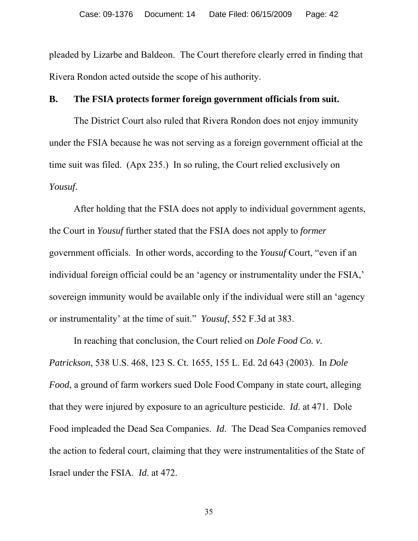pleaded by Lizarbe and Baldeon. The Court therefore clearly erred in finding that Rivera Rondon acted outside the scope of his authority.

## **B. The FSIA protects former foreign government officials from suit.**

 The District Court also ruled that Rivera Rondon does not enjoy immunity under the FSIA because he was not serving as a foreign government official at the time suit was filed. (Apx 235.) In so ruling, the Court relied exclusively on *Yousuf*.

After holding that the FSIA does not apply to individual government agents, the Court in *Yousuf* further stated that the FSIA does not apply to *former*  government officials. In other words, according to the *Yousuf* Court, "even if an individual foreign official could be an 'agency or instrumentality under the FSIA,' sovereign immunity would be available only if the individual were still an 'agency or instrumentality' at the time of suit." *Yousuf*, 552 F.3d at 383.

 In reaching that conclusion, the Court relied on *Dole Food Co. v. Patrickson*, 538 U.S. 468, 123 S. Ct. 1655, 155 L. Ed. 2d 643 (2003). In *Dole Food*, a ground of farm workers sued Dole Food Company in state court, alleging that they were injured by exposure to an agriculture pesticide. *Id*. at 471. Dole Food impleaded the Dead Sea Companies. *Id*. The Dead Sea Companies removed the action to federal court, claiming that they were instrumentalities of the State of Israel under the FSIA. *Id*. at 472.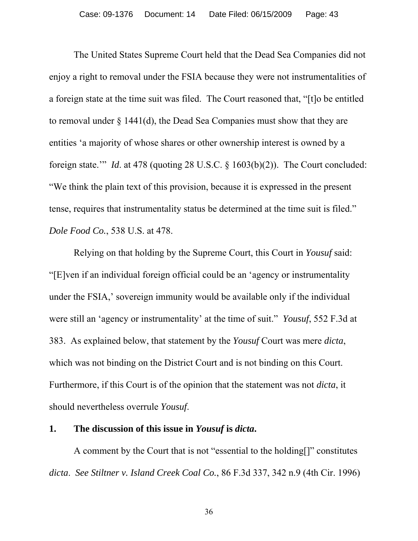The United States Supreme Court held that the Dead Sea Companies did not enjoy a right to removal under the FSIA because they were not instrumentalities of a foreign state at the time suit was filed. The Court reasoned that, "[t]o be entitled to removal under § 1441(d), the Dead Sea Companies must show that they are entities 'a majority of whose shares or other ownership interest is owned by a foreign state.'" *Id*. at 478 (quoting 28 U.S.C. § 1603(b)(2)). The Court concluded: "We think the plain text of this provision, because it is expressed in the present tense, requires that instrumentality status be determined at the time suit is filed." *Dole Food Co.*, 538 U.S. at 478.

 Relying on that holding by the Supreme Court, this Court in *Yousuf* said: "[E]ven if an individual foreign official could be an 'agency or instrumentality under the FSIA,' sovereign immunity would be available only if the individual were still an 'agency or instrumentality' at the time of suit." *Yousuf*, 552 F.3d at 383. As explained below, that statement by the *Yousuf* Court was mere *dicta*, which was not binding on the District Court and is not binding on this Court. Furthermore, if this Court is of the opinion that the statement was not *dicta*, it should nevertheless overrule *Yousuf*.

#### **1. The discussion of this issue in** *Yousuf* **is** *dicta***.**

A comment by the Court that is not "essential to the holding[]" constitutes *dicta*. *See Stiltner v. Island Creek Coal Co.*, 86 F.3d 337, 342 n.9 (4th Cir. 1996)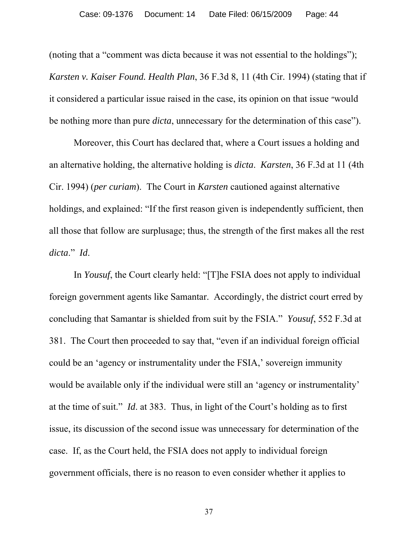(noting that a "comment was dicta because it was not essential to the holdings"); *Karsten v. Kaiser Found. Health Plan*, 36 F.3d 8, 11 (4th Cir. 1994) (stating that if it considered a particular issue raised in the case, its opinion on that issue "would be nothing more than pure *dicta*, unnecessary for the determination of this case").

 Moreover, this Court has declared that, where a Court issues a holding and an alternative holding, the alternative holding is *dicta*. *Karsten*, 36 F.3d at 11 (4th Cir. 1994) (*per curiam*). The Court in *Karsten* cautioned against alternative holdings, and explained: "If the first reason given is independently sufficient, then all those that follow are surplusage; thus, the strength of the first makes all the rest *dicta*." *Id*.

 In *Yousuf*, the Court clearly held: "[T]he FSIA does not apply to individual foreign government agents like Samantar. Accordingly, the district court erred by concluding that Samantar is shielded from suit by the FSIA." *Yousuf*, 552 F.3d at 381. The Court then proceeded to say that, "even if an individual foreign official could be an 'agency or instrumentality under the FSIA,' sovereign immunity would be available only if the individual were still an 'agency or instrumentality' at the time of suit." *Id*. at 383. Thus, in light of the Court's holding as to first issue, its discussion of the second issue was unnecessary for determination of the case. If, as the Court held, the FSIA does not apply to individual foreign government officials, there is no reason to even consider whether it applies to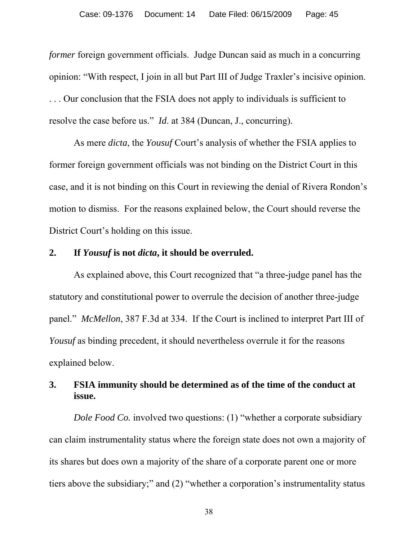*former* foreign government officials. Judge Duncan said as much in a concurring opinion: "With respect, I join in all but Part III of Judge Traxler's incisive opinion. . . . Our conclusion that the FSIA does not apply to individuals is sufficient to resolve the case before us." *Id*. at 384 (Duncan, J., concurring).

 As mere *dicta*, the *Yousuf* Court's analysis of whether the FSIA applies to former foreign government officials was not binding on the District Court in this case, and it is not binding on this Court in reviewing the denial of Rivera Rondon's motion to dismiss. For the reasons explained below, the Court should reverse the District Court's holding on this issue.

#### **2. If** *Yousuf* **is not** *dicta***, it should be overruled.**

As explained above, this Court recognized that "a three-judge panel has the statutory and constitutional power to overrule the decision of another three-judge panel." *McMellon*, 387 F.3d at 334. If the Court is inclined to interpret Part III of *Yousuf* as binding precedent, it should nevertheless overrule it for the reasons explained below.

# **3. FSIA immunity should be determined as of the time of the conduct at issue.**

*Dole Food Co.* involved two questions: (1) "whether a corporate subsidiary can claim instrumentality status where the foreign state does not own a majority of its shares but does own a majority of the share of a corporate parent one or more tiers above the subsidiary;" and (2) "whether a corporation's instrumentality status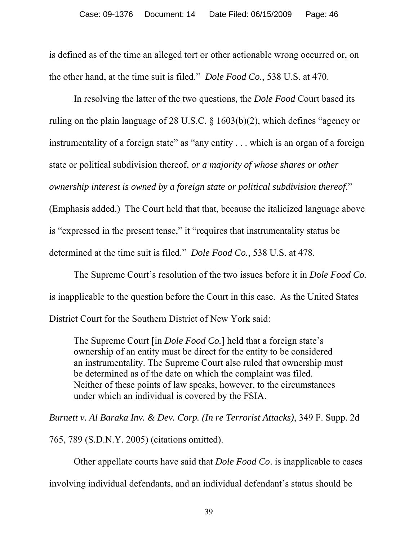is defined as of the time an alleged tort or other actionable wrong occurred or, on the other hand, at the time suit is filed." *Dole Food Co.*, 538 U.S. at 470.

In resolving the latter of the two questions, the *Dole Food* Court based its ruling on the plain language of 28 U.S.C. § 1603(b)(2), which defines "agency or instrumentality of a foreign state" as "any entity . . . which is an organ of a foreign state or political subdivision thereof, *or a majority of whose shares or other ownership interest is owned by a foreign state or political subdivision thereof*." (Emphasis added.) The Court held that that, because the italicized language above is "expressed in the present tense," it "requires that instrumentality status be determined at the time suit is filed." *Dole Food Co.*, 538 U.S. at 478.

 The Supreme Court's resolution of the two issues before it in *Dole Food Co.* is inapplicable to the question before the Court in this case. As the United States District Court for the Southern District of New York said:

The Supreme Court [in *Dole Food Co.*] held that a foreign state's ownership of an entity must be direct for the entity to be considered an instrumentality. The Supreme Court also ruled that ownership must be determined as of the date on which the complaint was filed. Neither of these points of law speaks, however, to the circumstances under which an individual is covered by the FSIA.

*Burnett v. Al Baraka Inv. & Dev. Corp. (In re Terrorist Attacks)*, 349 F. Supp. 2d

765, 789 (S.D.N.Y. 2005) (citations omitted).

Other appellate courts have said that *Dole Food Co*. is inapplicable to cases

involving individual defendants, and an individual defendant's status should be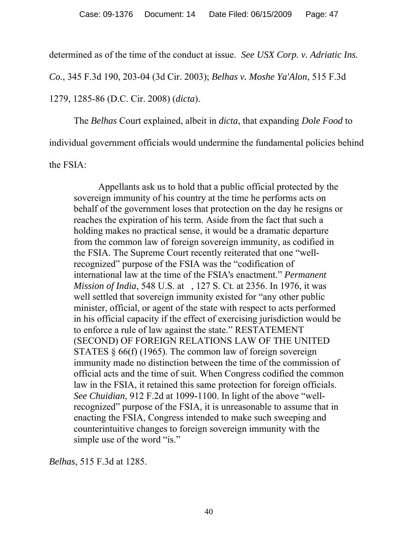determined as of the time of the conduct at issue. *See USX Corp. v. Adriatic Ins.* 

*Co.*, 345 F.3d 190, 203-04 (3d Cir. 2003); *Belhas v. Moshe Ya'Alon*, 515 F.3d

1279, 1285-86 (D.C. Cir. 2008) (*dicta*).

 The *Belhas* Court explained, albeit in *dicta*, that expanding *Dole Food* to individual government officials would undermine the fundamental policies behind the FSIA:

 Appellants ask us to hold that a public official protected by the sovereign immunity of his country at the time he performs acts on behalf of the government loses that protection on the day he resigns or reaches the expiration of his term. Aside from the fact that such a holding makes no practical sense, it would be a dramatic departure from the common law of foreign sovereign immunity, as codified in the FSIA. The Supreme Court recently reiterated that one "wellrecognized" purpose of the FSIA was the "codification of international law at the time of the FSIA's enactment." *Permanent Mission of India*, 548 U.S. at , 127 S. Ct. at 2356. In 1976, it was well settled that sovereign immunity existed for "any other public minister, official, or agent of the state with respect to acts performed in his official capacity if the effect of exercising jurisdiction would be to enforce a rule of law against the state." RESTATEMENT (SECOND) OF FOREIGN RELATIONS LAW OF THE UNITED STATES § 66(f) (1965). The common law of foreign sovereign immunity made no distinction between the time of the commission of official acts and the time of suit. When Congress codified the common law in the FSIA, it retained this same protection for foreign officials. *See Chuidian*, 912 F.2d at 1099-1100. In light of the above "wellrecognized" purpose of the FSIA, it is unreasonable to assume that in enacting the FSIA, Congress intended to make such sweeping and counterintuitive changes to foreign sovereign immunity with the simple use of the word "is."

*Belhas*, 515 F.3d at 1285.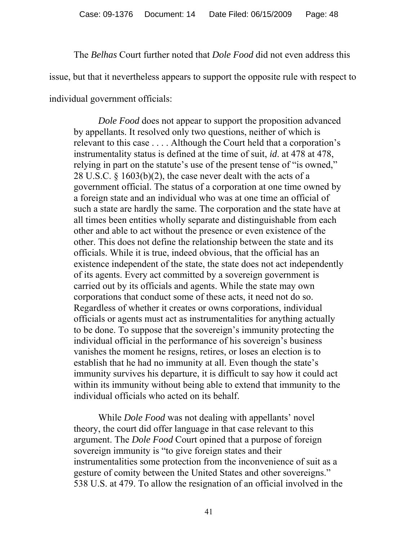The *Belhas* Court further noted that *Dole Food* did not even address this issue, but that it nevertheless appears to support the opposite rule with respect to individual government officials:

*Dole Food* does not appear to support the proposition advanced by appellants. It resolved only two questions, neither of which is relevant to this case . . . . Although the Court held that a corporation's instrumentality status is defined at the time of suit, *id*. at 478 at 478, relying in part on the statute's use of the present tense of "is owned," 28 U.S.C.  $\S$  1603(b)(2), the case never dealt with the acts of a government official. The status of a corporation at one time owned by a foreign state and an individual who was at one time an official of such a state are hardly the same. The corporation and the state have at all times been entities wholly separate and distinguishable from each other and able to act without the presence or even existence of the other. This does not define the relationship between the state and its officials. While it is true, indeed obvious, that the official has an existence independent of the state, the state does not act independently of its agents. Every act committed by a sovereign government is carried out by its officials and agents. While the state may own corporations that conduct some of these acts, it need not do so. Regardless of whether it creates or owns corporations, individual officials or agents must act as instrumentalities for anything actually to be done. To suppose that the sovereign's immunity protecting the individual official in the performance of his sovereign's business vanishes the moment he resigns, retires, or loses an election is to establish that he had no immunity at all. Even though the state's immunity survives his departure, it is difficult to say how it could act within its immunity without being able to extend that immunity to the individual officials who acted on its behalf.

While *Dole Food* was not dealing with appellants' novel theory, the court did offer language in that case relevant to this argument. The *Dole Food* Court opined that a purpose of foreign sovereign immunity is "to give foreign states and their instrumentalities some protection from the inconvenience of suit as a gesture of comity between the United States and other sovereigns." 538 U.S. at 479. To allow the resignation of an official involved in the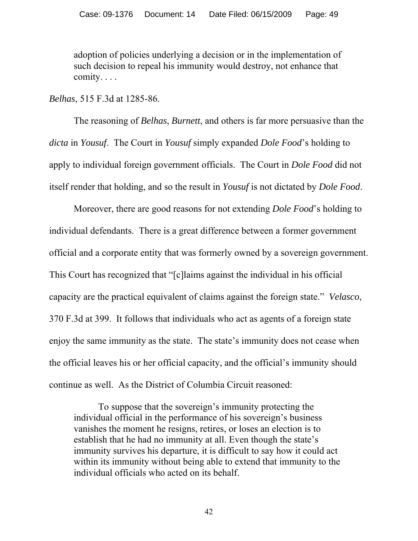adoption of policies underlying a decision or in the implementation of such decision to repeal his immunity would destroy, not enhance that comity. . . .

*Belhas*, 515 F.3d at 1285-86.

The reasoning of *Belhas*, *Burnett*, and others is far more persuasive than the *dicta* in *Yousuf*. The Court in *Yousuf* simply expanded *Dole Food*'s holding to apply to individual foreign government officials. The Court in *Dole Food* did not itself render that holding, and so the result in *Yousuf* is not dictated by *Dole Food*.

Moreover, there are good reasons for not extending *Dole Food*'s holding to individual defendants. There is a great difference between a former government official and a corporate entity that was formerly owned by a sovereign government. This Court has recognized that "[c]laims against the individual in his official capacity are the practical equivalent of claims against the foreign state." *Velasco*, 370 F.3d at 399. It follows that individuals who act as agents of a foreign state enjoy the same immunity as the state. The state's immunity does not cease when the official leaves his or her official capacity, and the official's immunity should continue as well. As the District of Columbia Circuit reasoned:

To suppose that the sovereign's immunity protecting the individual official in the performance of his sovereign's business vanishes the moment he resigns, retires, or loses an election is to establish that he had no immunity at all. Even though the state's immunity survives his departure, it is difficult to say how it could act within its immunity without being able to extend that immunity to the individual officials who acted on its behalf.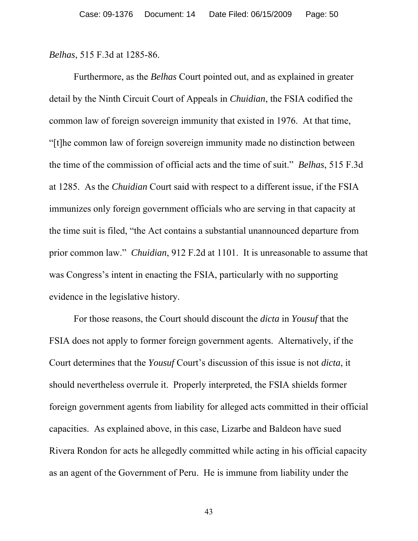*Belhas*, 515 F.3d at 1285-86.

 Furthermore, as the *Belhas* Court pointed out, and as explained in greater detail by the Ninth Circuit Court of Appeals in *Chuidian*, the FSIA codified the common law of foreign sovereign immunity that existed in 1976. At that time, "[t]he common law of foreign sovereign immunity made no distinction between the time of the commission of official acts and the time of suit." *Belhas*, 515 F.3d at 1285. As the *Chuidian* Court said with respect to a different issue, if the FSIA immunizes only foreign government officials who are serving in that capacity at the time suit is filed, "the Act contains a substantial unannounced departure from prior common law." *Chuidian*, 912 F.2d at 1101. It is unreasonable to assume that was Congress's intent in enacting the FSIA, particularly with no supporting evidence in the legislative history.

 For those reasons, the Court should discount the *dicta* in *Yousuf* that the FSIA does not apply to former foreign government agents. Alternatively, if the Court determines that the *Yousuf* Court's discussion of this issue is not *dicta*, it should nevertheless overrule it. Properly interpreted, the FSIA shields former foreign government agents from liability for alleged acts committed in their official capacities. As explained above, in this case, Lizarbe and Baldeon have sued Rivera Rondon for acts he allegedly committed while acting in his official capacity as an agent of the Government of Peru. He is immune from liability under the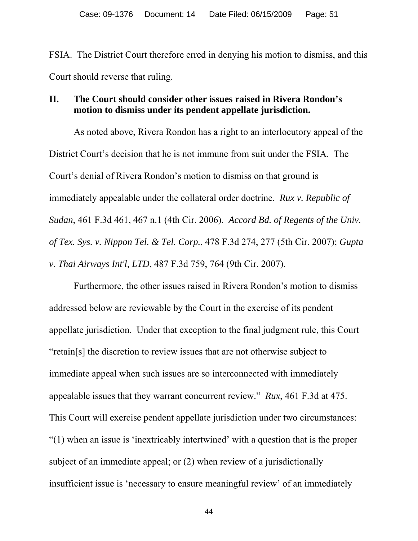FSIA. The District Court therefore erred in denying his motion to dismiss, and this Court should reverse that ruling.

### **II. The Court should consider other issues raised in Rivera Rondon's motion to dismiss under its pendent appellate jurisdiction.**

 As noted above, Rivera Rondon has a right to an interlocutory appeal of the District Court's decision that he is not immune from suit under the FSIA. The Court's denial of Rivera Rondon's motion to dismiss on that ground is immediately appealable under the collateral order doctrine. *Rux v. Republic of Sudan*, 461 F.3d 461, 467 n.1 (4th Cir. 2006). *Accord Bd. of Regents of the Univ. of Tex. Sys. v. Nippon Tel. & Tel. Corp.*, 478 F.3d 274, 277 (5th Cir. 2007); *Gupta v. Thai Airways Int'l, LTD*, 487 F.3d 759, 764 (9th Cir. 2007).

 Furthermore, the other issues raised in Rivera Rondon's motion to dismiss addressed below are reviewable by the Court in the exercise of its pendent appellate jurisdiction. Under that exception to the final judgment rule, this Court "retain[s] the discretion to review issues that are not otherwise subject to immediate appeal when such issues are so interconnected with immediately appealable issues that they warrant concurrent review." *Rux*, 461 F.3d at 475. This Court will exercise pendent appellate jurisdiction under two circumstances: "(1) when an issue is 'inextricably intertwined' with a question that is the proper subject of an immediate appeal; or (2) when review of a jurisdictionally insufficient issue is 'necessary to ensure meaningful review' of an immediately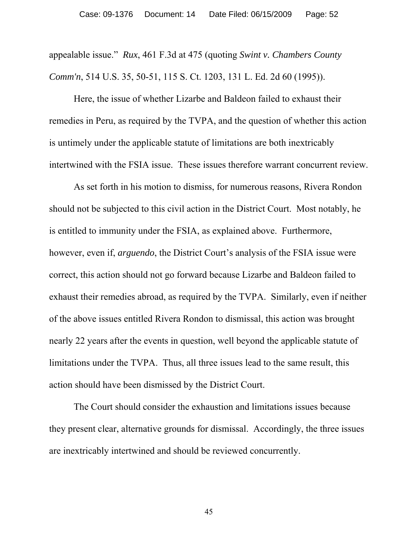appealable issue." *Rux*, 461 F.3d at 475 (quoting *Swint v. Chambers County Comm'n*, 514 U.S. 35, 50-51, 115 S. Ct. 1203, 131 L. Ed. 2d 60 (1995)).

 Here, the issue of whether Lizarbe and Baldeon failed to exhaust their remedies in Peru, as required by the TVPA, and the question of whether this action is untimely under the applicable statute of limitations are both inextricably intertwined with the FSIA issue. These issues therefore warrant concurrent review.

 As set forth in his motion to dismiss, for numerous reasons, Rivera Rondon should not be subjected to this civil action in the District Court. Most notably, he is entitled to immunity under the FSIA, as explained above. Furthermore, however, even if, *arguendo*, the District Court's analysis of the FSIA issue were correct, this action should not go forward because Lizarbe and Baldeon failed to exhaust their remedies abroad, as required by the TVPA. Similarly, even if neither of the above issues entitled Rivera Rondon to dismissal, this action was brought nearly 22 years after the events in question, well beyond the applicable statute of limitations under the TVPA. Thus, all three issues lead to the same result, this action should have been dismissed by the District Court.

 The Court should consider the exhaustion and limitations issues because they present clear, alternative grounds for dismissal. Accordingly, the three issues are inextricably intertwined and should be reviewed concurrently.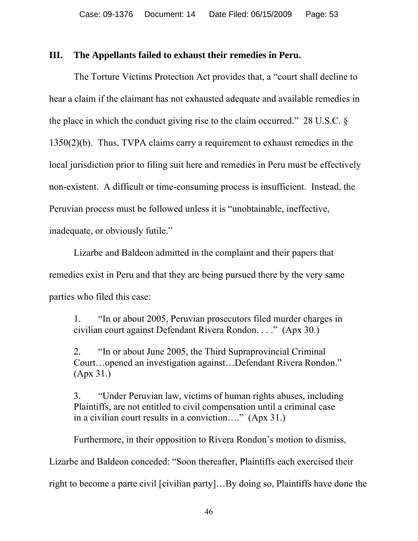### **III. The Appellants failed to exhaust their remedies in Peru.**

The Torture Victims Protection Act provides that, a "court shall decline to hear a claim if the claimant has not exhausted adequate and available remedies in the place in which the conduct giving rise to the claim occurred." 28 U.S.C. § 1350(2)(b). Thus, TVPA claims carry a requirement to exhaust remedies in the local jurisdiction prior to filing suit here and remedies in Peru must be effectively non-existent. A difficult or time-consuming process is insufficient. Instead, the Peruvian process must be followed unless it is "unobtainable, ineffective, inadequate, or obviously futile."

 Lizarbe and Baldeon admitted in the complaint and their papers that remedies exist in Peru and that they are being pursued there by the very same parties who filed this case:

1. "In or about 2005, Peruvian prosecutors filed murder charges in civilian court against Defendant Rivera Rondon. . . ." (Apx 30.)

2. "In or about June 2005, the Third Supraprovincial Criminal Court…opened an investigation against…Defendant Rivera Rondon." (Apx 31.)

3. "Under Peruvian law, victims of human rights abuses, including Plaintiffs, are not entitled to civil compensation until a criminal case in a civilian court results in a conviction…." (Apx 31.)

Furthermore, in their opposition to Rivera Rondon's motion to dismiss,

Lizarbe and Baldeon conceded: "Soon thereafter, Plaintiffs each exercised their

right to become a parte civil [civilian party]…By doing so, Plaintiffs have done the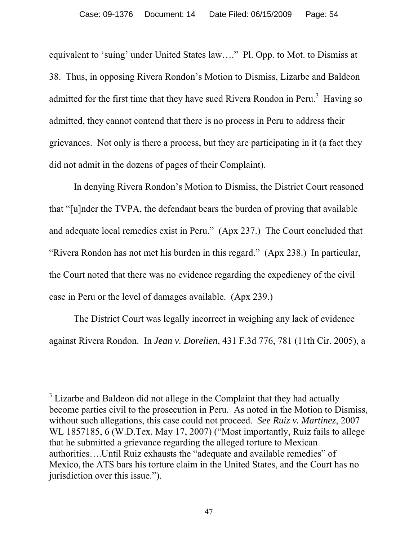equivalent to 'suing' under United States law…." Pl. Opp. to Mot. to Dismiss at 38. Thus, in opposing Rivera Rondon's Motion to Dismiss, Lizarbe and Baldeon admitted for the first time that they have sued Rivera Rondon in Peru. $3$  Having so admitted, they cannot contend that there is no process in Peru to address their grievances. Not only is there a process, but they are participating in it (a fact they did not admit in the dozens of pages of their Complaint).

 In denying Rivera Rondon's Motion to Dismiss, the District Court reasoned that "[u]nder the TVPA, the defendant bears the burden of proving that available and adequate local remedies exist in Peru." (Apx 237.) The Court concluded that "Rivera Rondon has not met his burden in this regard." (Apx 238.) In particular, the Court noted that there was no evidence regarding the expediency of the civil case in Peru or the level of damages available. (Apx 239.)

 The District Court was legally incorrect in weighing any lack of evidence against Rivera Rondon. In *Jean v. Dorelien*, 431 F.3d 776, 781 (11th Cir. 2005), a

 $\overline{a}$ 

 $3$  Lizarbe and Baldeon did not allege in the Complaint that they had actually become parties civil to the prosecution in Peru. As noted in the Motion to Dismiss, without such allegations, this case could not proceed. *See Ruiz v. Martinez*, 2007 WL 1857185, 6 (W.D.Tex. May 17, 2007) ("Most importantly, Ruiz fails to allege that he submitted a grievance regarding the alleged torture to Mexican authorities….Until Ruiz exhausts the "adequate and available remedies" of Mexico, the ATS bars his torture claim in the United States, and the Court has no jurisdiction over this issue.").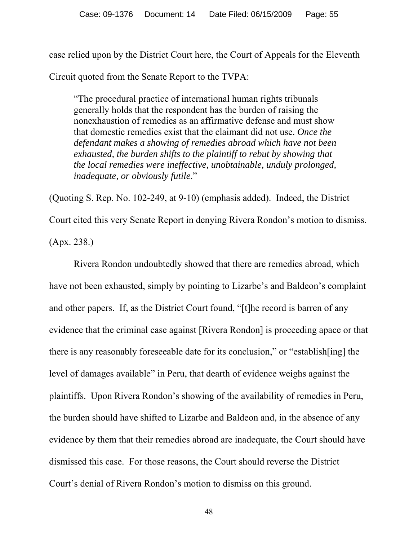case relied upon by the District Court here, the Court of Appeals for the Eleventh Circuit quoted from the Senate Report to the TVPA:

"The procedural practice of international human rights tribunals generally holds that the respondent has the burden of raising the nonexhaustion of remedies as an affirmative defense and must show that domestic remedies exist that the claimant did not use. *Once the defendant makes a showing of remedies abroad which have not been exhausted, the burden shifts to the plaintiff to rebut by showing that the local remedies were ineffective, unobtainable, unduly prolonged, inadequate, or obviously futile*."

(Quoting S. Rep. No. 102-249, at 9-10) (emphasis added). Indeed, the District Court cited this very Senate Report in denying Rivera Rondon's motion to dismiss. (Apx. 238.)

 Rivera Rondon undoubtedly showed that there are remedies abroad, which have not been exhausted, simply by pointing to Lizarbe's and Baldeon's complaint and other papers. If, as the District Court found, "[t]he record is barren of any evidence that the criminal case against [Rivera Rondon] is proceeding apace or that there is any reasonably foreseeable date for its conclusion," or "establish[ing] the level of damages available" in Peru, that dearth of evidence weighs against the plaintiffs. Upon Rivera Rondon's showing of the availability of remedies in Peru, the burden should have shifted to Lizarbe and Baldeon and, in the absence of any evidence by them that their remedies abroad are inadequate, the Court should have dismissed this case. For those reasons, the Court should reverse the District Court's denial of Rivera Rondon's motion to dismiss on this ground.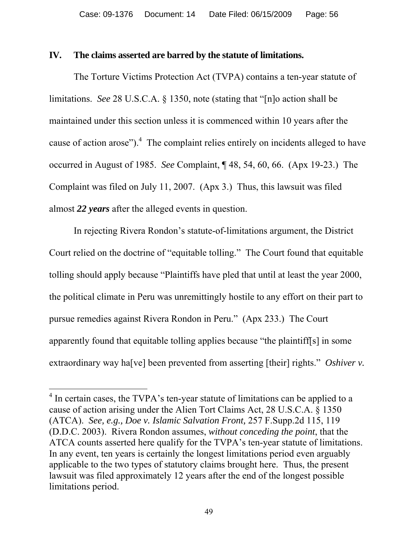### **IV. The claims asserted are barred by the statute of limitations.**

The Torture Victims Protection Act (TVPA) contains a ten-year statute of limitations. *See* 28 U.S.C.A. § 1350, note (stating that "[n]o action shall be maintained under this section unless it is commenced within 10 years after the cause of action arose"). $4$  The complaint relies entirely on incidents alleged to have occurred in August of 1985. *See* Complaint, ¶ 48, 54, 60, 66. (Apx 19-23.) The Complaint was filed on July 11, 2007. (Apx 3.) Thus, this lawsuit was filed almost *22 years* after the alleged events in question.

In rejecting Rivera Rondon's statute-of-limitations argument, the District Court relied on the doctrine of "equitable tolling." The Court found that equitable tolling should apply because "Plaintiffs have pled that until at least the year 2000, the political climate in Peru was unremittingly hostile to any effort on their part to pursue remedies against Rivera Rondon in Peru." (Apx 233.) The Court apparently found that equitable tolling applies because "the plaintiff[s] in some extraordinary way ha[ve] been prevented from asserting [their] rights." *Oshiver v.* 

 $\overline{a}$ 

<sup>&</sup>lt;sup>4</sup> In certain cases, the TVPA's ten-year statute of limitations can be applied to a cause of action arising under the Alien Tort Claims Act, 28 U.S.C.A. § 1350 (ATCA). *See, e.g., Doe v. Islamic Salvation Front,* 257 F.Supp.2d 115, 119 (D.D.C. 2003).Rivera Rondon assumes, *without conceding the point*, that the ATCA counts asserted here qualify for the TVPA's ten-year statute of limitations. In any event, ten years is certainly the longest limitations period even arguably applicable to the two types of statutory claims brought here.Thus, the present lawsuit was filed approximately 12 years after the end of the longest possible limitations period.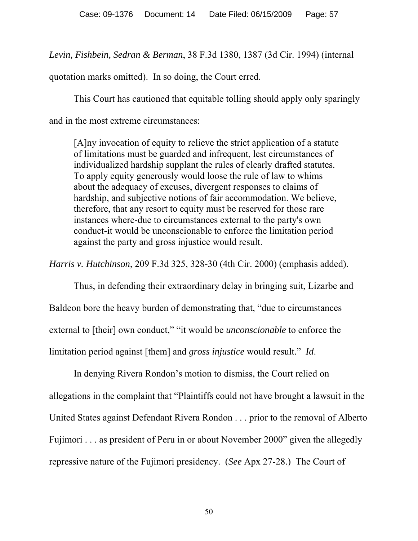*Levin, Fishbein, Sedran & Berman*, 38 F.3d 1380, 1387 (3d Cir. 1994) (internal

quotation marks omitted). In so doing, the Court erred.

This Court has cautioned that equitable tolling should apply only sparingly and in the most extreme circumstances:

[A]ny invocation of equity to relieve the strict application of a statute of limitations must be guarded and infrequent, lest circumstances of individualized hardship supplant the rules of clearly drafted statutes. To apply equity generously would loose the rule of law to whims about the adequacy of excuses, divergent responses to claims of hardship, and subjective notions of fair accommodation. We believe, therefore, that any resort to equity must be reserved for those rare instances where-due to circumstances external to the party's own conduct-it would be unconscionable to enforce the limitation period against the party and gross injustice would result.

*Harris v. Hutchinson*, 209 F.3d 325, 328-30 (4th Cir. 2000) (emphasis added).

 Thus, in defending their extraordinary delay in bringing suit, Lizarbe and Baldeon bore the heavy burden of demonstrating that, "due to circumstances external to [their] own conduct," "it would be *unconscionable* to enforce the limitation period against [them] and *gross injustice* would result." *Id*.

 In denying Rivera Rondon's motion to dismiss, the Court relied on allegations in the complaint that "Plaintiffs could not have brought a lawsuit in the United States against Defendant Rivera Rondon . . . prior to the removal of Alberto Fujimori . . . as president of Peru in or about November 2000" given the allegedly repressive nature of the Fujimori presidency. (*See* Apx 27-28.) The Court of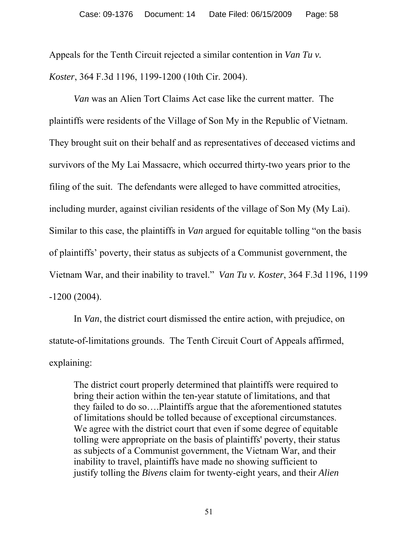Appeals for the Tenth Circuit rejected a similar contention in *Van Tu v. Koster*, 364 F.3d 1196, 1199-1200 (10th Cir. 2004).

*Van* was an Alien Tort Claims Act case like the current matter. The plaintiffs were residents of the Village of Son My in the Republic of Vietnam. They brought suit on their behalf and as representatives of deceased victims and survivors of the My Lai Massacre, which occurred thirty-two years prior to the filing of the suit. The defendants were alleged to have committed atrocities, including murder, against civilian residents of the village of Son My (My Lai). Similar to this case, the plaintiffs in *Van* argued for equitable tolling "on the basis of plaintiffs' poverty, their status as subjects of a Communist government, the Vietnam War, and their inability to travel." *Van Tu v. Koster*, 364 F.3d 1196, 1199 -1200 (2004).

In *Van*, the district court dismissed the entire action, with prejudice, on statute-of-limitations grounds. The Tenth Circuit Court of Appeals affirmed, explaining:

The district court properly determined that plaintiffs were required to bring their action within the ten-year statute of limitations, and that they failed to do so….Plaintiffs argue that the aforementioned statutes of limitations should be tolled because of exceptional circumstances. We agree with the district court that even if some degree of equitable tolling were appropriate on the basis of plaintiffs' poverty, their status as subjects of a Communist government, the Vietnam War, and their inability to travel, plaintiffs have made no showing sufficient to justify tolling the *Bivens* claim for twenty-eight years, and their *Alien*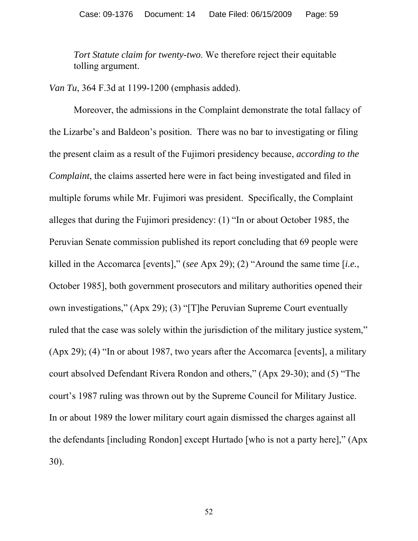*Tort Statute claim for twenty-two*. We therefore reject their equitable tolling argument.

*Van Tu*, 364 F.3d at 1199-1200 (emphasis added).

 Moreover, the admissions in the Complaint demonstrate the total fallacy of the Lizarbe's and Baldeon's position. There was no bar to investigating or filing the present claim as a result of the Fujimori presidency because, *according to the Complaint*, the claims asserted here were in fact being investigated and filed in multiple forums while Mr. Fujimori was president. Specifically, the Complaint alleges that during the Fujimori presidency: (1) "In or about October 1985, the Peruvian Senate commission published its report concluding that 69 people were killed in the Accomarca [events]," (*see* Apx 29); (2) "Around the same time [*i.e.*, October 1985], both government prosecutors and military authorities opened their own investigations," (Apx 29); (3) "[T]he Peruvian Supreme Court eventually ruled that the case was solely within the jurisdiction of the military justice system," (Apx 29); (4) "In or about 1987, two years after the Accomarca [events], a military court absolved Defendant Rivera Rondon and others," (Apx 29-30); and (5) "The court's 1987 ruling was thrown out by the Supreme Council for Military Justice. In or about 1989 the lower military court again dismissed the charges against all the defendants [including Rondon] except Hurtado [who is not a party here]," (Apx 30).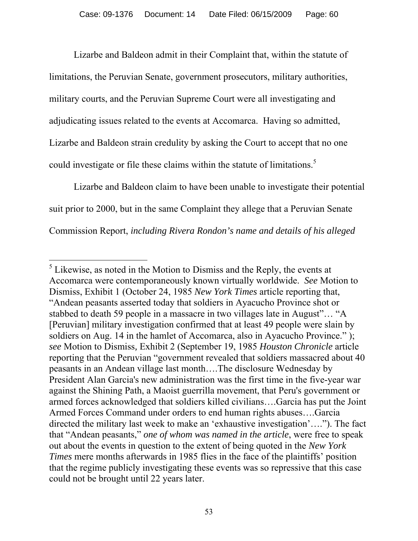Lizarbe and Baldeon admit in their Complaint that, within the statute of limitations, the Peruvian Senate, government prosecutors, military authorities, military courts, and the Peruvian Supreme Court were all investigating and adjudicating issues related to the events at Accomarca. Having so admitted, Lizarbe and Baldeon strain credulity by asking the Court to accept that no one could investigate or file these claims within the statute of limitations.<sup>5</sup>

 Lizarbe and Baldeon claim to have been unable to investigate their potential suit prior to 2000, but in the same Complaint they allege that a Peruvian Senate Commission Report, *including Rivera Rondon's name and details of his alleged* 

 $\overline{a}$ 

 $<sup>5</sup>$  Likewise, as noted in the Motion to Dismiss and the Reply, the events at</sup> Accomarca were contemporaneously known virtually worldwide. *See* Motion to Dismiss, Exhibit 1 (October 24, 1985 *New York Times* article reporting that, "Andean peasants asserted today that soldiers in Ayacucho Province shot or stabbed to death 59 people in a massacre in two villages late in August"… "A [Peruvian] military investigation confirmed that at least 49 people were slain by soldiers on Aug. 14 in the hamlet of Accomarca, also in Ayacucho Province." ); *see* Motion to Dismiss*,* Exhibit 2 (September 19, 1985 *Houston Chronicle* article reporting that the Peruvian "government revealed that soldiers massacred about 40 peasants in an Andean village last month….The disclosure Wednesday by President Alan Garcia's new administration was the first time in the five-year war against the Shining Path, a Maoist guerrilla movement, that Peru's government or armed forces acknowledged that soldiers killed civilians….Garcia has put the Joint Armed Forces Command under orders to end human rights abuses….Garcia directed the military last week to make an 'exhaustive investigation'…."). The fact that "Andean peasants," *one of whom was named in the article*, were free to speak out about the events in question to the extent of being quoted in the *New York Times* mere months afterwards in 1985 flies in the face of the plaintiffs' position that the regime publicly investigating these events was so repressive that this case could not be brought until 22 years later.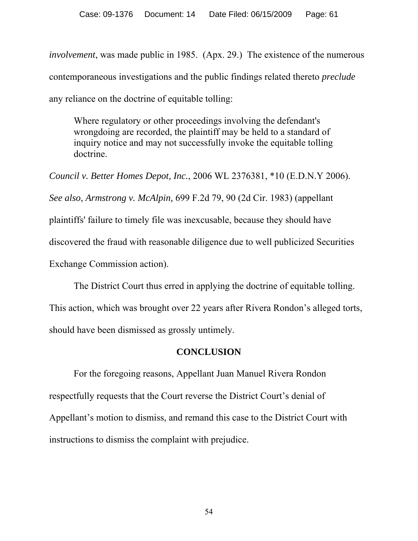*involvement*, was made public in 1985. (Apx. 29.) The existence of the numerous contemporaneous investigations and the public findings related thereto *preclude*  any reliance on the doctrine of equitable tolling:

Where regulatory or other proceedings involving the defendant's wrongdoing are recorded, the plaintiff may be held to a standard of inquiry notice and may not successfully invoke the equitable tolling doctrine.

*Council v. Better Homes Depot, Inc.*, 2006 WL 2376381, \*10 (E.D.N.Y 2006). *See also*, *Armstrong v. McAlpin,* 699 F.2d 79, 90 (2d Cir. 1983) (appellant plaintiffs' failure to timely file was inexcusable, because they should have discovered the fraud with reasonable diligence due to well publicized Securities Exchange Commission action).

The District Court thus erred in applying the doctrine of equitable tolling.

This action, which was brought over 22 years after Rivera Rondon's alleged torts, should have been dismissed as grossly untimely.

## **CONCLUSION**

 For the foregoing reasons, Appellant Juan Manuel Rivera Rondon respectfully requests that the Court reverse the District Court's denial of Appellant's motion to dismiss, and remand this case to the District Court with instructions to dismiss the complaint with prejudice.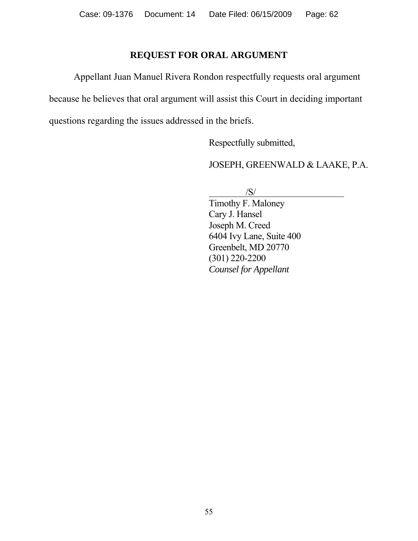### **REQUEST FOR ORAL ARGUMENT**

Appellant Juan Manuel Rivera Rondon respectfully requests oral argument

because he believes that oral argument will assist this Court in deciding important

questions regarding the issues addressed in the briefs.

Respectfully submitted,

JOSEPH, GREENWALD & LAAKE, P.A.

 $/S/$ 

Timothy F. Maloney Cary J. Hansel Joseph M. Creed 6404 Ivy Lane, Suite 400 Greenbelt, MD 20770 (301) 220-2200 *Counsel for Appellant*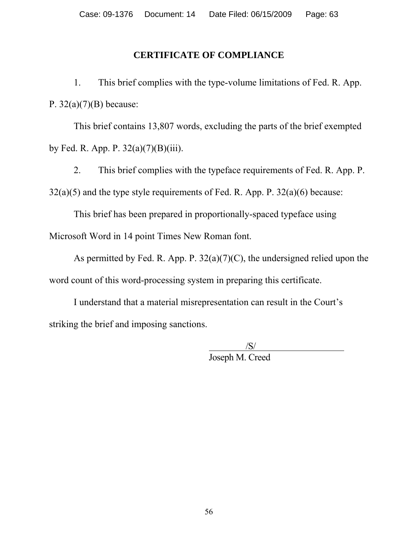# **CERTIFICATE OF COMPLIANCE**

1. This brief complies with the type-volume limitations of Fed. R. App. P.  $32(a)(7)(B)$  because:

This brief contains 13,807 words, excluding the parts of the brief exempted by Fed. R. App. P.  $32(a)(7)(B)(iii)$ .

2. This brief complies with the typeface requirements of Fed. R. App. P.  $32(a)(5)$  and the type style requirements of Fed. R. App. P.  $32(a)(6)$  because:

This brief has been prepared in proportionally-spaced typeface using Microsoft Word in 14 point Times New Roman font.

As permitted by Fed. R. App. P.  $32(a)(7)(C)$ , the undersigned relied upon the word count of this word-processing system in preparing this certificate.

I understand that a material misrepresentation can result in the Court's striking the brief and imposing sanctions.

> $\frac{|S|}{|S|}$ Joseph M. Creed